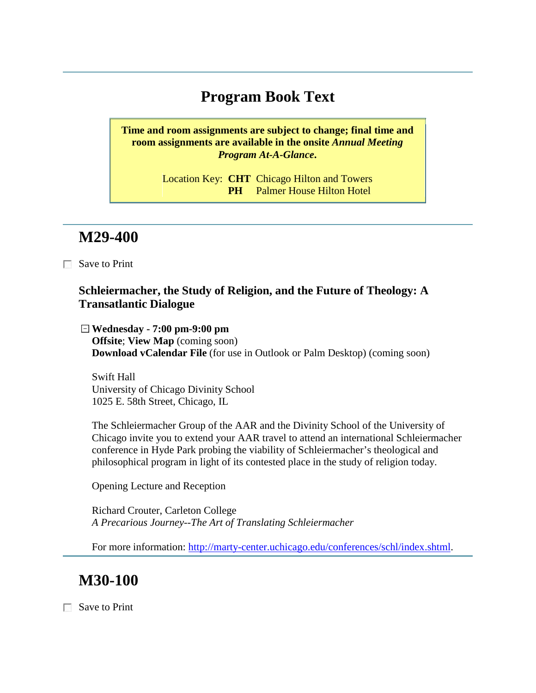# **Program Book Text**

**Time and room assignments are subject to change; final time and room assignments are available in the onsite** *Annual Meeting Program At-A-Glance***.**

> Location Key: **CHT** Chicago Hilton and Towers **PH** Palmer House Hilton Hotel

### **M29-400**

 $\Box$  Save to Print

#### **Schleiermacher, the Study of Religion, and the Future of Theology: A Transatlantic Dialogue**

**Wednesday - 7:00 pm-9:00 pm Offsite**; **View Map** (coming soon) **Download vCalendar File** (for use in Outlook or Palm Desktop) (coming soon)

Swift Hall University of Chicago Divinity School 1025 E. 58th Street, Chicago, IL

The Schleiermacher Group of the AAR and the Divinity School of the University of Chicago invite you to extend your AAR travel to attend an international Schleiermacher conference in Hyde Park probing the viability of Schleiermacher's theological and philosophical program in light of its contested place in the study of religion today.

Opening Lecture and Reception

Richard Crouter, Carleton College *A Precarious Journey--The Art of Translating Schleiermacher*

For more information: [http://marty-center.uchicago.edu/conferences/schl/index.shtml.](http://marty-center.uchicago.edu/conferences/schl/index.shtml)

# **M30-100**

Save to Print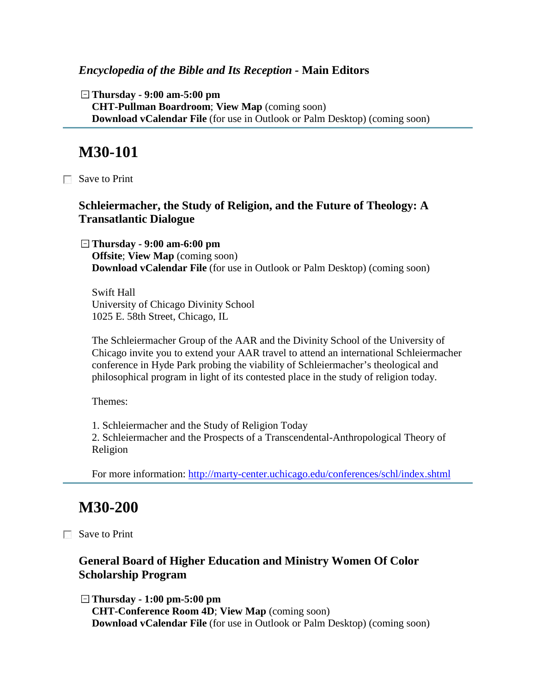#### *Encyclopedia of the Bible and Its Reception -* **Main Editors**

**Thursday - 9:00 am-5:00 pm CHT-Pullman Boardroom**; **View Map** (coming soon) **Download vCalendar File** (for use in Outlook or Palm Desktop) (coming soon)

### **M30-101**

Save to Print

### **Schleiermacher, the Study of Religion, and the Future of Theology: A Transatlantic Dialogue**

**Thursday - 9:00 am-6:00 pm Offsite**; **View Map** (coming soon) **Download vCalendar File** (for use in Outlook or Palm Desktop) (coming soon)

Swift Hall University of Chicago Divinity School 1025 E. 58th Street, Chicago, IL

The Schleiermacher Group of the AAR and the Divinity School of the University of Chicago invite you to extend your AAR travel to attend an international Schleiermacher conference in Hyde Park probing the viability of Schleiermacher's theological and philosophical program in light of its contested place in the study of religion today.

Themes:

1. Schleiermacher and the Study of Religion Today

2. Schleiermacher and the Prospects of a Transcendental-Anthropological Theory of Religion

For more information:<http://marty-center.uchicago.edu/conferences/schl/index.shtml>

# **M30-200**

Save to Print

### **General Board of Higher Education and Ministry Women Of Color Scholarship Program**

**Thursday - 1:00 pm-5:00 pm CHT-Conference Room 4D**; **View Map** (coming soon) **Download vCalendar File** (for use in Outlook or Palm Desktop) (coming soon)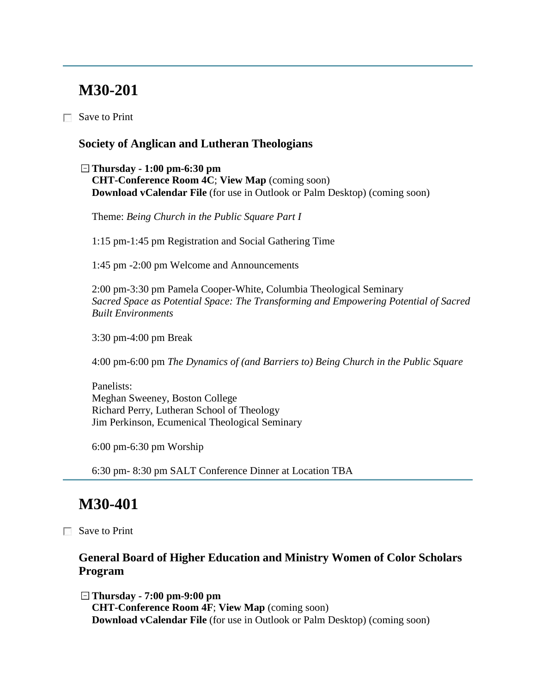# **M30-201**

Save to Print

#### **Society of Anglican and Lutheran Theologians**

**Thursday - 1:00 pm-6:30 pm CHT-Conference Room 4C**; **View Map** (coming soon) **Download vCalendar File** (for use in Outlook or Palm Desktop) (coming soon)

Theme: *Being Church in the Public Square Part I*

1:15 pm-1:45 pm Registration and Social Gathering Time

1:45 pm -2:00 pm Welcome and Announcements

2:00 pm-3:30 pm Pamela Cooper-White, Columbia Theological Seminary *Sacred Space as Potential Space: The Transforming and Empowering Potential of Sacred Built Environments*

3:30 pm-4:00 pm Break

4:00 pm-6:00 pm *The Dynamics of (and Barriers to) Being Church in the Public Square*

Panelists: Meghan Sweeney, Boston College Richard Perry, Lutheran School of Theology Jim Perkinson, Ecumenical Theological Seminary

6:00 pm-6:30 pm Worship

6:30 pm- 8:30 pm SALT Conference Dinner at Location TBA

# **M30-401**

Save to Print

### **General Board of Higher Education and Ministry Women of Color Scholars Program**

**Thursday - 7:00 pm-9:00 pm CHT-Conference Room 4F**; **View Map** (coming soon) **Download vCalendar File** (for use in Outlook or Palm Desktop) (coming soon)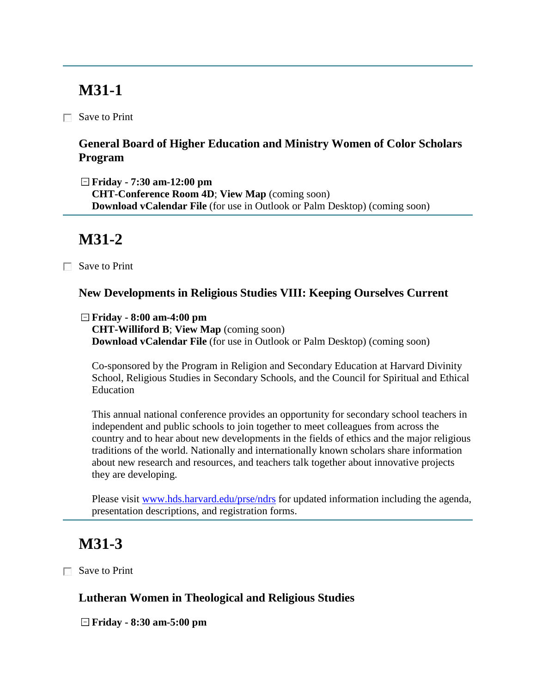# **M31-1**

Save to Print

### **General Board of Higher Education and Ministry Women of Color Scholars Program**

**Friday - 7:30 am-12:00 pm**

**CHT-Conference Room 4D**; **View Map** (coming soon) **Download vCalendar File** (for use in Outlook or Palm Desktop) (coming soon)

# **M31-2**

Save to Print

### **New Developments in Religious Studies VIII: Keeping Ourselves Current**

**Friday - 8:00 am-4:00 pm**

**CHT-Williford B**; **View Map** (coming soon) **Download vCalendar File** (for use in Outlook or Palm Desktop) (coming soon)

Co-sponsored by the Program in Religion and Secondary Education at Harvard Divinity School, Religious Studies in Secondary Schools, and the Council for Spiritual and Ethical Education

This annual national conference provides an opportunity for secondary school teachers in independent and public schools to join together to meet colleagues from across the country and to hear about new developments in the fields of ethics and the major religious traditions of the world. Nationally and internationally known scholars share information about new research and resources, and teachers talk together about innovative projects they are developing.

Please visit [www.hds.harvard.edu/prse/ndrs](http://www.hds.harvard.edu/prse/ndrs) for updated information including the agenda, presentation descriptions, and registration forms.

# **M31-3**

Save to Print

### **Lutheran Women in Theological and Religious Studies**

**Friday - 8:30 am-5:00 pm**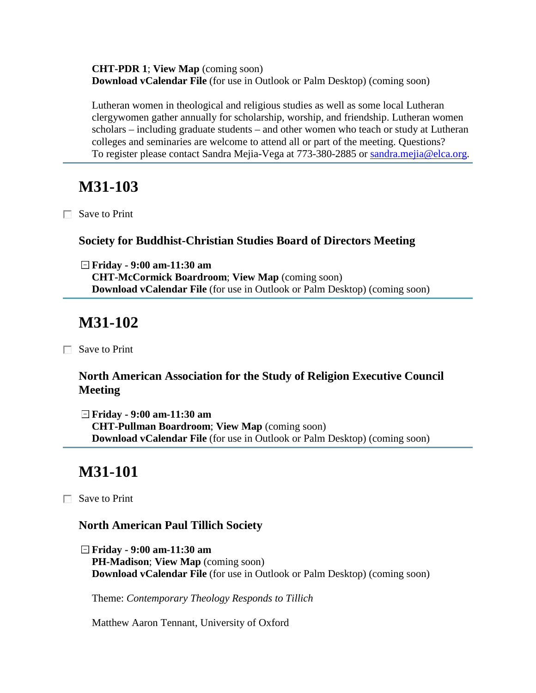**CHT-PDR 1**; **View Map** (coming soon) **Download vCalendar File** (for use in Outlook or Palm Desktop) (coming soon)

Lutheran women in theological and religious studies as well as some local Lutheran clergywomen gather annually for scholarship, worship, and friendship. Lutheran women scholars – including graduate students – and other women who teach or study at Lutheran colleges and seminaries are welcome to attend all or part of the meeting. Questions? To register please contact Sandra Mejia-Vega at 773-380-2885 or [sandra.mejia@elca.org.](mailto:sandra.mejia@elca.org)

# **M31-103**

Save to Print

#### **Society for Buddhist-Christian Studies Board of Directors Meeting**

**Friday - 9:00 am-11:30 am CHT-McCormick Boardroom**; **View Map** (coming soon) **Download vCalendar File** (for use in Outlook or Palm Desktop) (coming soon)

## **M31-102**

□ Save to Print

### **North American Association for the Study of Religion Executive Council Meeting**

**Friday - 9:00 am-11:30 am CHT-Pullman Boardroom**; **View Map** (coming soon) **Download vCalendar File** (for use in Outlook or Palm Desktop) (coming soon)

# **M31-101**

Save to Print

#### **North American Paul Tillich Society**

**Friday - 9:00 am-11:30 am PH-Madison**; **View Map** (coming soon) **Download vCalendar File** (for use in Outlook or Palm Desktop) (coming soon)

Theme: *Contemporary Theology Responds to Tillich*

Matthew Aaron Tennant, University of Oxford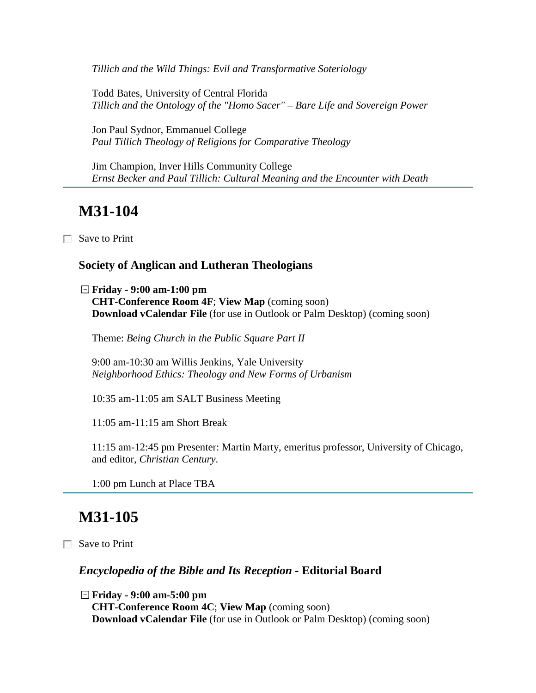*Tillich and the Wild Things: Evil and Transformative Soteriology*

Todd Bates, University of Central Florida *Tillich and the Ontology of the "Homo Sacer" – Bare Life and Sovereign Power*

Jon Paul Sydnor, Emmanuel College *Paul Tillich Theology of Religions for Comparative Theology*

Jim Champion, Inver Hills Community College *Ernst Becker and Paul Tillich: Cultural Meaning and the Encounter with Death*

### **M31-104**

□ Save to Print

#### **Society of Anglican and Lutheran Theologians**

**Friday - 9:00 am-1:00 pm CHT-Conference Room 4F**; **View Map** (coming soon) **Download vCalendar File** (for use in Outlook or Palm Desktop) (coming soon)

Theme: *Being Church in the Public Square Part II*

9:00 am-10:30 am Willis Jenkins, Yale University *Neighborhood Ethics: Theology and New Forms of Urbanism*

10:35 am-11:05 am SALT Business Meeting

11:05 am-11:15 am Short Break

11:15 am-12:45 pm Presenter: Martin Marty, emeritus professor, University of Chicago, and editor, *Christian Century*.

1:00 pm Lunch at Place TBA

### **M31-105**

Save to Print

#### *Encyclopedia of the Bible and Its Reception -* **Editorial Board**

**Friday - 9:00 am-5:00 pm CHT-Conference Room 4C**; **View Map** (coming soon) **Download vCalendar File** (for use in Outlook or Palm Desktop) (coming soon)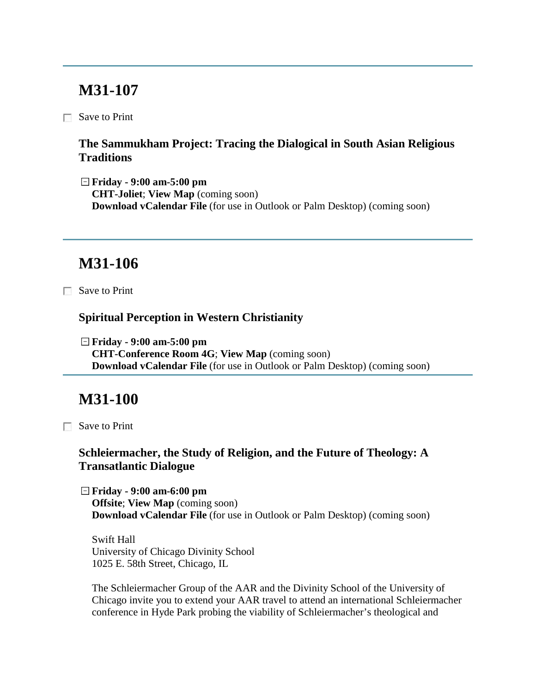## **M31-107**

Save to Print

### **The Sammukham Project: Tracing the Dialogical in South Asian Religious Traditions**

**Friday - 9:00 am-5:00 pm CHT-Joliet**; **View Map** (coming soon) **Download vCalendar File** (for use in Outlook or Palm Desktop) (coming soon)

# **M31-106**

Save to Print

#### **Spiritual Perception in Western Christianity**

**Friday - 9:00 am-5:00 pm CHT-Conference Room 4G**; **View Map** (coming soon) **Download vCalendar File** (for use in Outlook or Palm Desktop) (coming soon)

## **M31-100**

□ Save to Print

### **Schleiermacher, the Study of Religion, and the Future of Theology: A Transatlantic Dialogue**

**Friday - 9:00 am-6:00 pm Offsite**; **View Map** (coming soon) **Download vCalendar File** (for use in Outlook or Palm Desktop) (coming soon)

Swift Hall University of Chicago Divinity School 1025 E. 58th Street, Chicago, IL

The Schleiermacher Group of the AAR and the Divinity School of the University of Chicago invite you to extend your AAR travel to attend an international Schleiermacher conference in Hyde Park probing the viability of Schleiermacher's theological and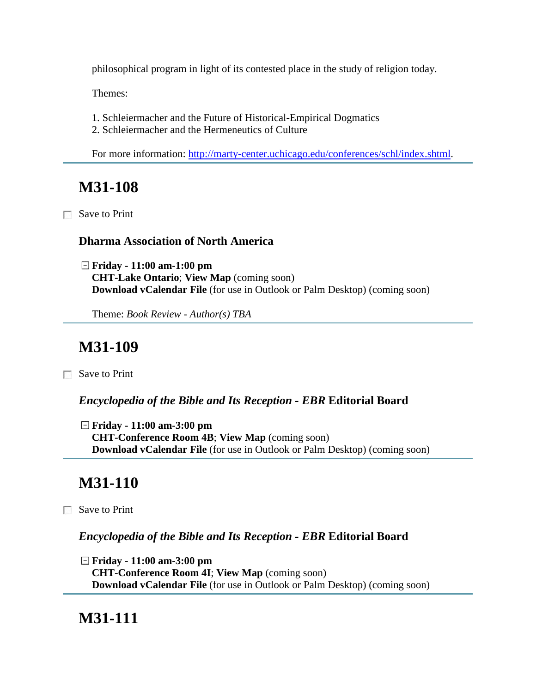philosophical program in light of its contested place in the study of religion today.

Themes:

- 1. Schleiermacher and the Future of Historical-Empirical Dogmatics
- 2. Schleiermacher and the Hermeneutics of Culture

For more information: [http://marty-center.uchicago.edu/conferences/schl/index.shtml.](http://marty-center.uchicago.edu/conferences/schl/index.shtml)

# **M31-108**

Save to Print

### **Dharma Association of North America**

**Friday - 11:00 am-1:00 pm CHT-Lake Ontario**; **View Map** (coming soon) **Download vCalendar File** (for use in Outlook or Palm Desktop) (coming soon)

Theme: *Book Review - Author(s) TBA*

# **M31-109**

Save to Print

*Encyclopedia of the Bible and Its Reception - EBR* **Editorial Board**

**Friday - 11:00 am-3:00 pm CHT-Conference Room 4B**; **View Map** (coming soon) **Download vCalendar File** (for use in Outlook or Palm Desktop) (coming soon)

# **M31-110**

 $\Box$  Save to Print

### *Encyclopedia of the Bible and Its Reception - EBR* **Editorial Board**

**Friday - 11:00 am-3:00 pm CHT-Conference Room 4I**; **View Map** (coming soon) **Download vCalendar File** (for use in Outlook or Palm Desktop) (coming soon)

# **M31-111**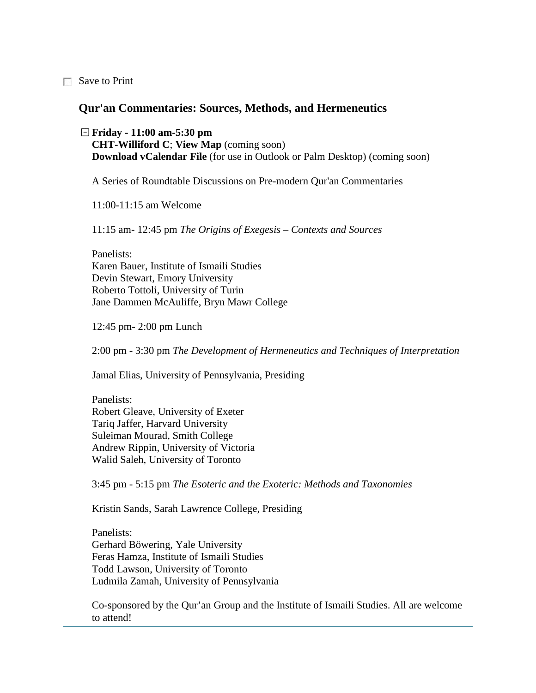Save to Print

#### **Qur'an Commentaries: Sources, Methods, and Hermeneutics**

**Friday - 11:00 am-5:30 pm CHT-Williford C**; **View Map** (coming soon) **Download vCalendar File** (for use in Outlook or Palm Desktop) (coming soon)

A Series of Roundtable Discussions on Pre-modern Qur'an Commentaries

11:00-11:15 am Welcome

11:15 am- 12:45 pm *The Origins of Exegesis – Contexts and Sources* 

Panelists: Karen Bauer, Institute of Ismaili Studies Devin Stewart, Emory University Roberto Tottoli, University of Turin Jane Dammen McAuliffe, Bryn Mawr College

12:45 pm- 2:00 pm Lunch

2:00 pm - 3:30 pm *The Development of Hermeneutics and Techniques of Interpretation*

Jamal Elias, University of Pennsylvania, Presiding

Panelists: Robert Gleave, University of Exeter Tariq Jaffer, Harvard University Suleiman Mourad, Smith College Andrew Rippin, University of Victoria Walid Saleh, University of Toronto

3:45 pm - 5:15 pm *The Esoteric and the Exoteric: Methods and Taxonomies* 

Kristin Sands, Sarah Lawrence College, Presiding

Panelists: Gerhard Böwering, Yale University Feras Hamza, Institute of Ismaili Studies Todd Lawson, University of Toronto Ludmila Zamah, University of Pennsylvania

Co-sponsored by the Qur'an Group and the Institute of Ismaili Studies. All are welcome to attend!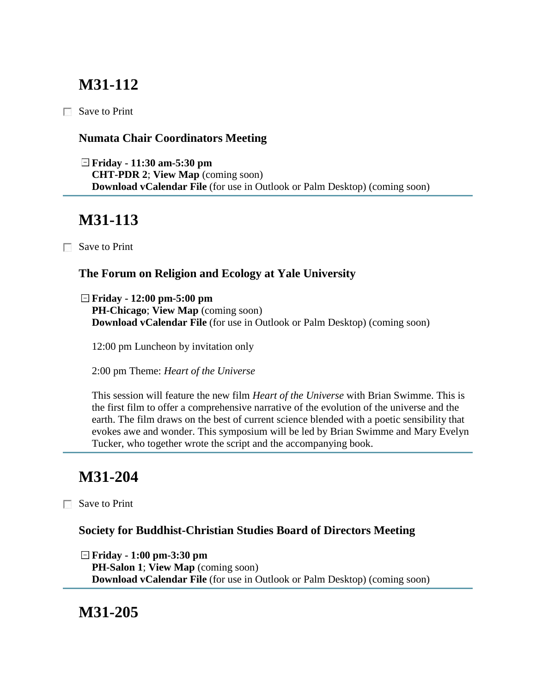# **M31-112**

 $\Box$  Save to Print

### **Numata Chair Coordinators Meeting**

**Friday - 11:30 am-5:30 pm CHT-PDR 2**; **View Map** (coming soon) **Download vCalendar File** (for use in Outlook or Palm Desktop) (coming soon)

# **M31-113**

Save to Print

### **The Forum on Religion and Ecology at Yale University**

**Friday - 12:00 pm-5:00 pm PH-Chicago**; **View Map** (coming soon) **Download vCalendar File** (for use in Outlook or Palm Desktop) (coming soon)

12:00 pm Luncheon by invitation only

2:00 pm Theme: *Heart of the Universe*

This session will feature the new film *Heart of the Universe* with Brian Swimme. This is the first film to offer a comprehensive narrative of the evolution of the universe and the earth. The film draws on the best of current science blended with a poetic sensibility that evokes awe and wonder. This symposium will be led by Brian Swimme and Mary Evelyn Tucker, who together wrote the script and the accompanying book.

# **M31-204**

Save to Print

#### **Society for Buddhist-Christian Studies Board of Directors Meeting**

**Friday - 1:00 pm-3:30 pm PH-Salon 1**; **View Map** (coming soon) **Download vCalendar File** (for use in Outlook or Palm Desktop) (coming soon)

## **M31-205**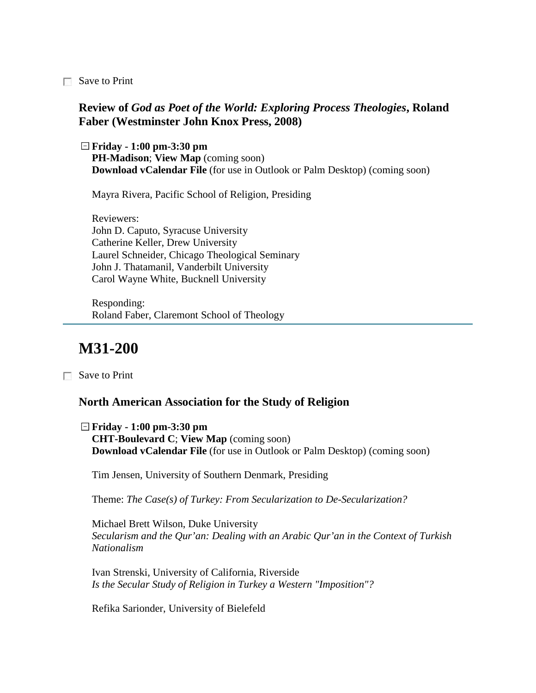Save to Print

#### **Review of** *God as Poet of the World: Exploring Process Theologies***, Roland Faber (Westminster John Knox Press, 2008)**

**Friday - 1:00 pm-3:30 pm PH-Madison**; **View Map** (coming soon) **Download vCalendar File** (for use in Outlook or Palm Desktop) (coming soon)

Mayra Rivera, Pacific School of Religion, Presiding

Reviewers: John D. Caputo, Syracuse University Catherine Keller, Drew University Laurel Schneider, Chicago Theological Seminary John J. Thatamanil, Vanderbilt University Carol Wayne White, Bucknell University

Responding: Roland Faber, Claremont School of Theology

### **M31-200**

Save to Print

#### **North American Association for the Study of Religion**

**Friday - 1:00 pm-3:30 pm CHT-Boulevard C**; **View Map** (coming soon) **Download vCalendar File** (for use in Outlook or Palm Desktop) (coming soon)

Tim Jensen, University of Southern Denmark, Presiding

Theme: *The Case(s) of Turkey: From Secularization to De-Secularization?*

Michael Brett Wilson, Duke University *Secularism and the Qur'an: Dealing with an Arabic Qur'an in the Context of Turkish Nationalism*

Ivan Strenski, University of California, Riverside *Is the Secular Study of Religion in Turkey a Western "Imposition"?*

Refika Sarionder, University of Bielefeld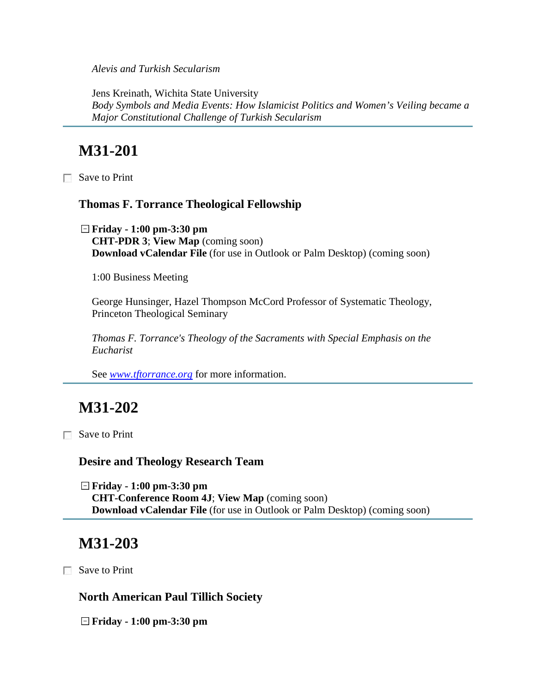*Alevis and Turkish Secularism*

Jens Kreinath, Wichita State University *Body Symbols and Media Events: How Islamicist Politics and Women's Veiling became a Major Constitutional Challenge of Turkish Secularism*

# **M31-201**

Save to Print

#### **Thomas F. Torrance Theological Fellowship**

**Friday - 1:00 pm-3:30 pm CHT-PDR 3**; **View Map** (coming soon) **Download vCalendar File** (for use in Outlook or Palm Desktop) (coming soon)

1:00 Business Meeting

George Hunsinger, Hazel Thompson McCord Professor of Systematic Theology, Princeton Theological Seminary

*Thomas F. Torrance's Theology of the Sacraments with Special Emphasis on the Eucharist* 

See *[www.tftorrance.org](http://www.tftorrance.org/)* for more information.

## **M31-202**

□ Save to Print

**Desire and Theology Research Team**

**Friday - 1:00 pm-3:30 pm CHT-Conference Room 4J**; **View Map** (coming soon) **Download vCalendar File** (for use in Outlook or Palm Desktop) (coming soon)

# **M31-203**

Save to Print

**North American Paul Tillich Society**

**Friday - 1:00 pm-3:30 pm**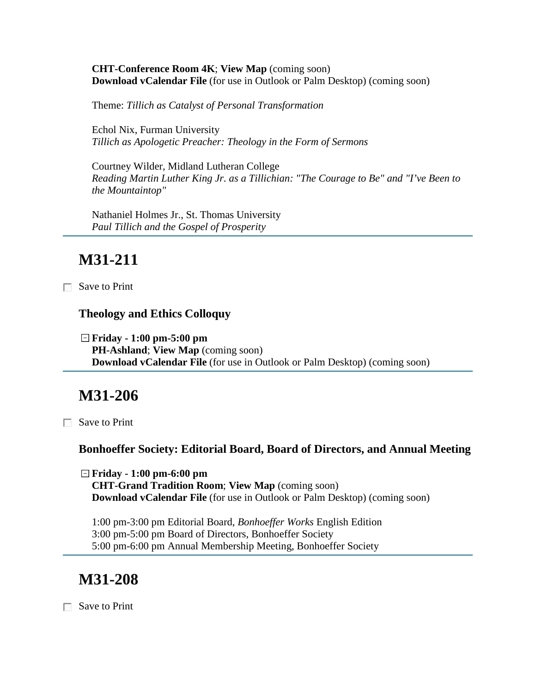**CHT-Conference Room 4K**; **View Map** (coming soon) **Download vCalendar File** (for use in Outlook or Palm Desktop) (coming soon)

Theme: *Tillich as Catalyst of Personal Transformation*

Echol Nix, Furman University *Tillich as Apologetic Preacher: Theology in the Form of Sermons*

Courtney Wilder, Midland Lutheran College *Reading Martin Luther King Jr. as a Tillichian: "The Courage to Be" and "I've Been to the Mountaintop"*

Nathaniel Holmes Jr., St. Thomas University *Paul Tillich and the Gospel of Prosperity*

# **M31-211**

Save to Print

#### **Theology and Ethics Colloquy**

**Friday - 1:00 pm-5:00 pm PH-Ashland**; **View Map** (coming soon) **Download vCalendar File** (for use in Outlook or Palm Desktop) (coming soon)

## **M31-206**

 $\Box$  Save to Print

#### **Bonhoeffer Society: Editorial Board, Board of Directors, and Annual Meeting**

**Friday - 1:00 pm-6:00 pm CHT-Grand Tradition Room**; **View Map** (coming soon) **Download vCalendar File** (for use in Outlook or Palm Desktop) (coming soon)

1:00 pm-3:00 pm Editorial Board, *Bonhoeffer Works* English Edition 3:00 pm-5:00 pm Board of Directors, Bonhoeffer Society 5:00 pm-6:00 pm Annual Membership Meeting, Bonhoeffer Society

## **M31-208**

Save to Print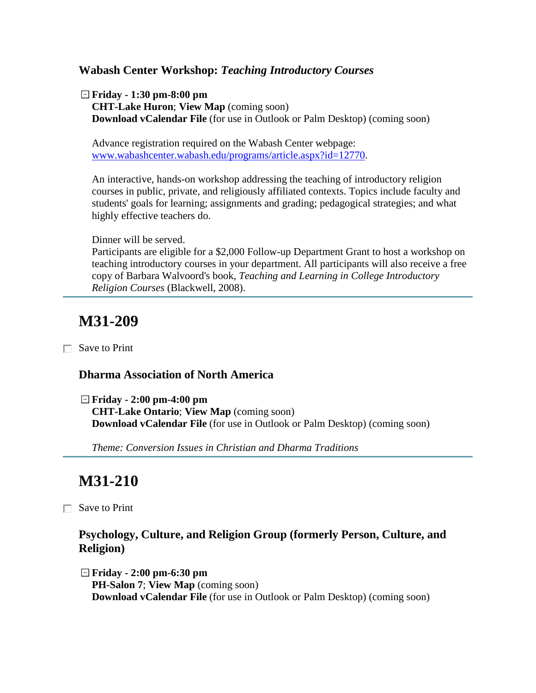#### **Wabash Center Workshop:** *Teaching Introductory Courses*

**Friday - 1:30 pm-8:00 pm CHT-Lake Huron**; **View Map** (coming soon)

**Download vCalendar File** (for use in Outlook or Palm Desktop) (coming soon)

Advance registration required on the Wabash Center webpage: [www.wabashcenter.wabash.edu/programs/article.aspx?id=12770.](http://www.wabashcenter.wabash.edu/programs/article.aspx?id=12770)

An interactive, hands-on workshop addressing the teaching of introductory religion courses in public, private, and religiously affiliated contexts. Topics include faculty and students' goals for learning; assignments and grading; pedagogical strategies; and what highly effective teachers do.

Dinner will be served.

Participants are eligible for a \$2,000 Follow-up Department Grant to host a workshop on teaching introductory courses in your department. All participants will also receive a free copy of Barbara Walvoord's book, *Teaching and Learning in College Introductory Religion Courses* (Blackwell, 2008).

# **M31-209**

Save to Print

#### **Dharma Association of North America**

**Friday - 2:00 pm-4:00 pm CHT-Lake Ontario**; **View Map** (coming soon) **Download vCalendar File** (for use in Outlook or Palm Desktop) (coming soon)

*Theme: Conversion Issues in Christian and Dharma Traditions*

# **M31-210**

Save to Print

### **Psychology, Culture, and Religion Group (formerly Person, Culture, and Religion)**

**Friday - 2:00 pm-6:30 pm PH-Salon 7**; **View Map** (coming soon) **Download vCalendar File** (for use in Outlook or Palm Desktop) (coming soon)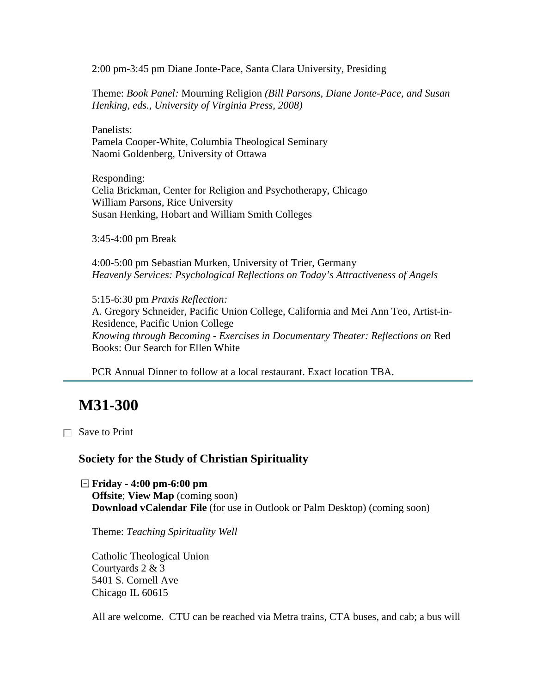2:00 pm-3:45 pm Diane Jonte-Pace, Santa Clara University, Presiding

Theme: *Book Panel:* Mourning Religion *(Bill Parsons, Diane Jonte-Pace, and Susan Henking, eds., University of Virginia Press, 2008)*

Panelists: Pamela Cooper-White, Columbia Theological Seminary Naomi Goldenberg, University of Ottawa

Responding: Celia Brickman, Center for Religion and Psychotherapy, Chicago William Parsons, Rice University Susan Henking, Hobart and William Smith Colleges

3:45-4:00 pm Break

4:00-5:00 pm Sebastian Murken, University of Trier, Germany *Heavenly Services: Psychological Reflections on Today's Attractiveness of Angels*

5:15-6:30 pm *Praxis Reflection:* A. Gregory Schneider, Pacific Union College, California and Mei Ann Teo, Artist-in-Residence, Pacific Union College *Knowing through Becoming - Exercises in Documentary Theater: Reflections on* Red Books: Our Search for Ellen White

PCR Annual Dinner to follow at a local restaurant. Exact location TBA.

### **M31-300**

Save to Print

#### **Society for the Study of Christian Spirituality**

**Friday - 4:00 pm-6:00 pm Offsite**; **View Map** (coming soon) **Download vCalendar File** (for use in Outlook or Palm Desktop) (coming soon)

Theme: *Teaching Spirituality Well*

Catholic Theological Union Courtyards 2 & 3 5401 S. Cornell Ave Chicago IL 60615

All are welcome. CTU can be reached via Metra trains, CTA buses, and cab; a bus will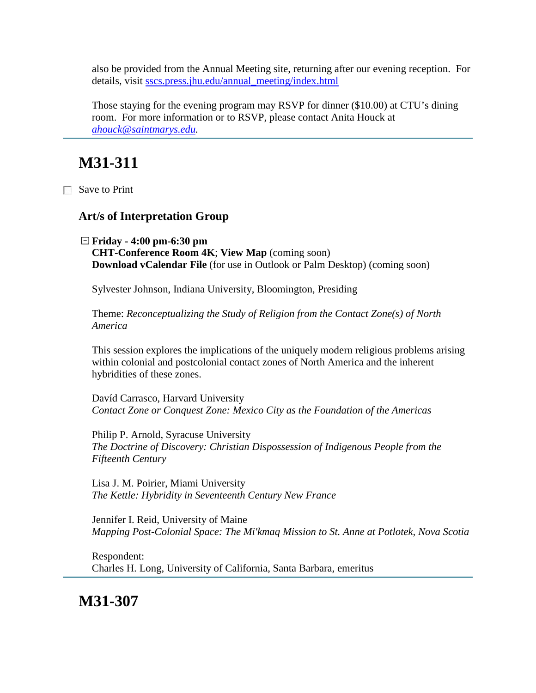also be provided from the Annual Meeting site, returning after our evening reception. For details, visit [sscs.press.jhu.edu/annual\\_meeting/index.html](http://sscs.press.jhu.edu/annual_meeting/index.html)

Those staying for the evening program may RSVP for dinner (\$10.00) at CTU's dining room. For more information or to RSVP, please contact Anita Houck at *[ahouck@saintmarys.edu.](mailto:ahouck@saintmarys.edu)* 

# **M31-311**

Save to Print

#### **Art/s of Interpretation Group**

**Friday - 4:00 pm-6:30 pm CHT-Conference Room 4K**; **View Map** (coming soon) **Download vCalendar File** (for use in Outlook or Palm Desktop) (coming soon)

Sylvester Johnson, Indiana University, Bloomington, Presiding

Theme: *Reconceptualizing the Study of Religion from the Contact Zone(s) of North America*

This session explores the implications of the uniquely modern religious problems arising within colonial and postcolonial contact zones of North America and the inherent hybridities of these zones.

Davíd Carrasco, Harvard University *Contact Zone or Conquest Zone: Mexico City as the Foundation of the Americas*

Philip P. Arnold, Syracuse University *The Doctrine of Discovery: Christian Dispossession of Indigenous People from the Fifteenth Century*

Lisa J. M. Poirier, Miami University *The Kettle: Hybridity in Seventeenth Century New France*

Jennifer I. Reid, University of Maine *Mapping Post-Colonial Space: The Mi'kmaq Mission to St. Anne at Potlotek, Nova Scotia*

Respondent: Charles H. Long, University of California, Santa Barbara, emeritus

**M31-307**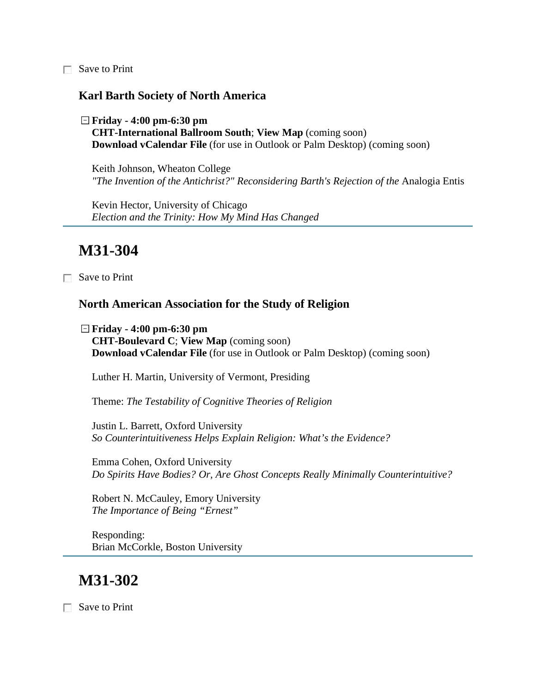□ Save to Print

#### **Karl Barth Society of North America**

**Friday - 4:00 pm-6:30 pm CHT-International Ballroom South**; **View Map** (coming soon) **Download vCalendar File** (for use in Outlook or Palm Desktop) (coming soon)

Keith Johnson, Wheaton College *"The Invention of the Antichrist?" Reconsidering Barth's Rejection of the* Analogia Entis

Kevin Hector, University of Chicago *Election and the Trinity: How My Mind Has Changed*

### **M31-304**

Save to Print

#### **North American Association for the Study of Religion**

**Friday - 4:00 pm-6:30 pm CHT-Boulevard C**; **View Map** (coming soon) **Download vCalendar File** (for use in Outlook or Palm Desktop) (coming soon)

Luther H. Martin, University of Vermont, Presiding

Theme: *The Testability of Cognitive Theories of Religion*

Justin L. Barrett, Oxford University *So Counterintuitiveness Helps Explain Religion: What's the Evidence?*

Emma Cohen, Oxford University *Do Spirits Have Bodies? Or, Are Ghost Concepts Really Minimally Counterintuitive?*

Robert N. McCauley, Emory University *The Importance of Being "Ernest"*

Responding: Brian McCorkle, Boston University

### **M31-302**

Save to Print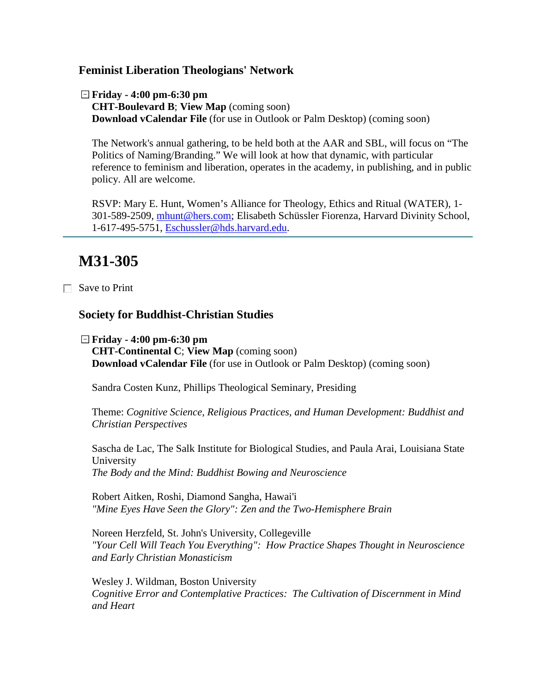#### **Feminist Liberation Theologians' Network**

**Friday - 4:00 pm-6:30 pm CHT-Boulevard B**; **View Map** (coming soon) **Download vCalendar File** (for use in Outlook or Palm Desktop) (coming soon)

The Network's annual gathering, to be held both at the AAR and SBL, will focus on "The Politics of Naming/Branding." We will look at how that dynamic, with particular reference to feminism and liberation, operates in the academy, in publishing, and in public policy. All are welcome.

RSVP: Mary E. Hunt, Women's Alliance for Theology, Ethics and Ritual (WATER), 1- 301-589-2509, [mhunt@hers.com;](mailto:mhunt@hers.com) Elisabeth Schüssler Fiorenza, Harvard Divinity School, 1-617-495-5751, [Eschussler@hds.harvard.edu.](mailto:Eschussler@hds.harvard.edu)

### **M31-305**

Save to Print

#### **Society for Buddhist-Christian Studies**

**Friday - 4:00 pm-6:30 pm CHT-Continental C**; **View Map** (coming soon) **Download vCalendar File** (for use in Outlook or Palm Desktop) (coming soon)

Sandra Costen Kunz, Phillips Theological Seminary, Presiding

Theme: *Cognitive Science, Religious Practices, and Human Development: Buddhist and Christian Perspectives*

Sascha de Lac, The Salk Institute for Biological Studies, and Paula Arai, Louisiana State University *The Body and the Mind: Buddhist Bowing and Neuroscience*

Robert Aitken, Roshi, Diamond Sangha, Hawai'i *"Mine Eyes Have Seen the Glory": Zen and the Two-Hemisphere Brain*

Noreen Herzfeld, St. John's University, Collegeville *"Your Cell Will Teach You Everything": How Practice Shapes Thought in Neuroscience and Early Christian Monasticism*

Wesley J. Wildman, Boston University *Cognitive Error and Contemplative Practices: The Cultivation of Discernment in Mind and Heart*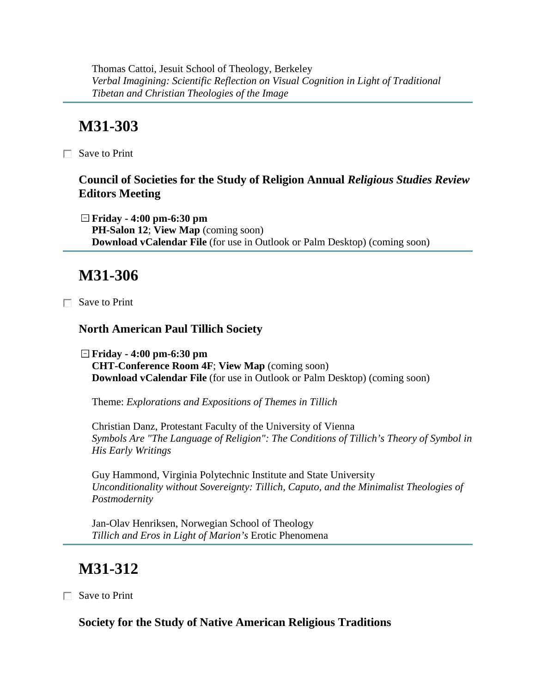Thomas Cattoi, Jesuit School of Theology, Berkeley *Verbal Imagining: Scientific Reflection on Visual Cognition in Light of Traditional Tibetan and Christian Theologies of the Image*

# **M31-303**

 $\Box$  Save to Print

### **Council of Societies for the Study of Religion Annual** *Religious Studies Review* **Editors Meeting**

**Friday - 4:00 pm-6:30 pm PH-Salon 12**; **View Map** (coming soon) **Download vCalendar File** (for use in Outlook or Palm Desktop) (coming soon)

### **M31-306**

Save to Print

#### **North American Paul Tillich Society**

**Friday - 4:00 pm-6:30 pm CHT-Conference Room 4F**; **View Map** (coming soon) **Download vCalendar File** (for use in Outlook or Palm Desktop) (coming soon)

Theme: *Explorations and Expositions of Themes in Tillich*

Christian Danz, Protestant Faculty of the University of Vienna *Symbols Are "The Language of Religion": The Conditions of Tillich's Theory of Symbol in His Early Writings*

Guy Hammond, Virginia Polytechnic Institute and State University *Unconditionality without Sovereignty: Tillich, Caputo, and the Minimalist Theologies of Postmodernity*

Jan-Olav Henriksen, Norwegian School of Theology *Tillich and Eros in Light of Marion's* Erotic Phenomena

## **M31-312**

Save to Print

**Society for the Study of Native American Religious Traditions**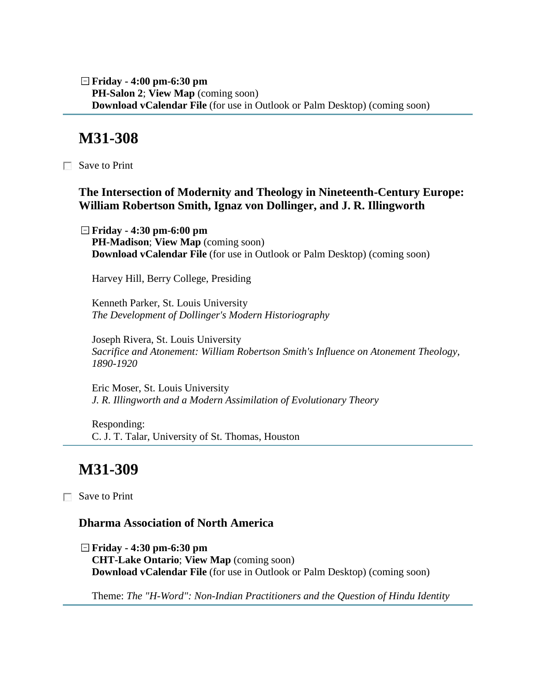**Friday - 4:00 pm-6:30 pm PH-Salon 2**; **View Map** (coming soon) **Download vCalendar File** (for use in Outlook or Palm Desktop) (coming soon)

### **M31-308**

Save to Print

#### **The Intersection of Modernity and Theology in Nineteenth-Century Europe: William Robertson Smith, Ignaz von Dollinger, and J. R. Illingworth**

**Friday - 4:30 pm-6:00 pm PH-Madison**; **View Map** (coming soon) **Download vCalendar File** (for use in Outlook or Palm Desktop) (coming soon)

Harvey Hill, Berry College, Presiding

Kenneth Parker, St. Louis University *The Development of Dollinger's Modern Historiography*

Joseph Rivera, St. Louis University *Sacrifice and Atonement: William Robertson Smith's Influence on Atonement Theology, 1890-1920*

Eric Moser, St. Louis University *J. R. Illingworth and a Modern Assimilation of Evolutionary Theory*

Responding: C. J. T. Talar, University of St. Thomas, Houston

### **M31-309**

Save to Print

#### **Dharma Association of North America**

**Friday - 4:30 pm-6:30 pm CHT-Lake Ontario**; **View Map** (coming soon) **Download vCalendar File** (for use in Outlook or Palm Desktop) (coming soon)

Theme: *The "H-Word": Non-Indian Practitioners and the Question of Hindu Identity*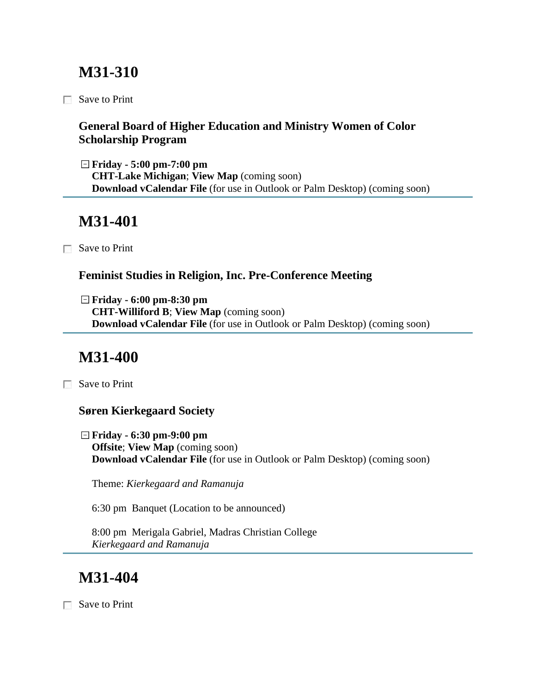# **M31-310**

□ Save to Print

### **General Board of Higher Education and Ministry Women of Color Scholarship Program**

**Friday - 5:00 pm-7:00 pm CHT-Lake Michigan**; **View Map** (coming soon) **Download vCalendar File** (for use in Outlook or Palm Desktop) (coming soon)

## **M31-401**

Save to Print

### **Feminist Studies in Religion, Inc. Pre-Conference Meeting**

**Friday - 6:00 pm-8:30 pm CHT-Williford B**; **View Map** (coming soon) **Download vCalendar File** (for use in Outlook or Palm Desktop) (coming soon)

# **M31-400**

Save to Print

### **Søren Kierkegaard Society**

**Friday - 6:30 pm-9:00 pm Offsite**; **View Map** (coming soon) **Download vCalendar File** (for use in Outlook or Palm Desktop) (coming soon)

Theme: *Kierkegaard and Ramanuja*

6:30 pm Banquet (Location to be announced)

8:00 pm Merigala Gabriel, Madras Christian College *Kierkegaard and Ramanuja*

# **M31-404**

Save to Print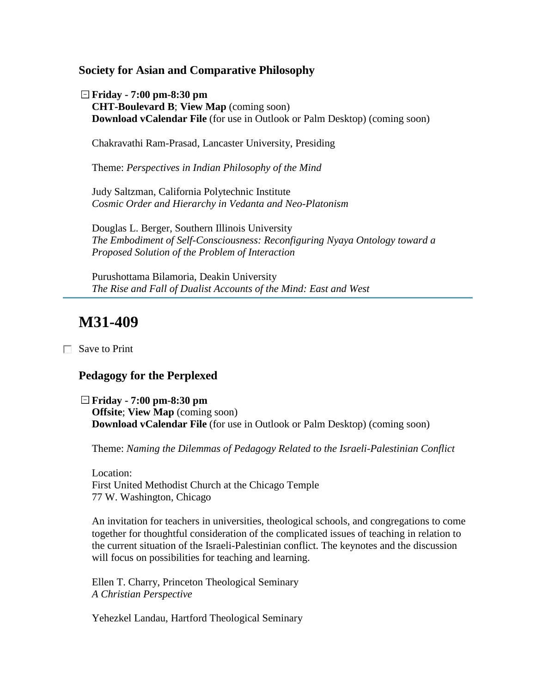**Society for Asian and Comparative Philosophy**

**Friday - 7:00 pm-8:30 pm CHT-Boulevard B**; **View Map** (coming soon) **Download vCalendar File** (for use in Outlook or Palm Desktop) (coming soon)

Chakravathi Ram-Prasad, Lancaster University, Presiding

Theme: *Perspectives in Indian Philosophy of the Mind*

Judy Saltzman, California Polytechnic Institute *Cosmic Order and Hierarchy in Vedanta and Neo-Platonism*

Douglas L. Berger, Southern Illinois University *The Embodiment of Self-Consciousness: Reconfiguring Nyaya Ontology toward a Proposed Solution of the Problem of Interaction*

Purushottama Bilamoria, Deakin University *The Rise and Fall of Dualist Accounts of the Mind: East and West*

### **M31-409**

Save to Print

#### **Pedagogy for the Perplexed**

**Friday - 7:00 pm-8:30 pm Offsite**; **View Map** (coming soon) **Download vCalendar File** (for use in Outlook or Palm Desktop) (coming soon)

Theme: *Naming the Dilemmas of Pedagogy Related to the Israeli-Palestinian Conflict*

Location: First United Methodist Church at the Chicago Temple 77 W. Washington, Chicago

An invitation for teachers in universities, theological schools, and congregations to come together for thoughtful consideration of the complicated issues of teaching in relation to the current situation of the Israeli-Palestinian conflict. The keynotes and the discussion will focus on possibilities for teaching and learning.

Ellen T. Charry, Princeton Theological Seminary *A Christian Perspective*

Yehezkel Landau, Hartford Theological Seminary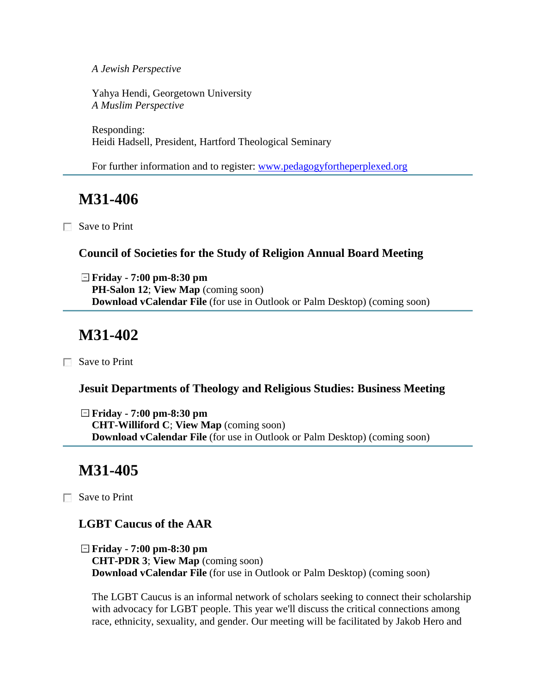*A Jewish Perspective*

Yahya Hendi, Georgetown University *A Muslim Perspective*

Responding: Heidi Hadsell, President, Hartford Theological Seminary

For further information and to register: [www.pedagogyfortheperplexed.org](http://www.pedagogyfortheperplexed.org/) 

## **M31-406**

Save to Print

#### **Council of Societies for the Study of Religion Annual Board Meeting**

**Friday - 7:00 pm-8:30 pm PH-Salon 12**; **View Map** (coming soon) **Download vCalendar File** (for use in Outlook or Palm Desktop) (coming soon)

# **M31-402**

Save to Print

#### **Jesuit Departments of Theology and Religious Studies: Business Meeting**

**Friday - 7:00 pm-8:30 pm CHT-Williford C**; **View Map** (coming soon) **Download vCalendar File** (for use in Outlook or Palm Desktop) (coming soon)

### **M31-405**

Save to Print

### **LGBT Caucus of the AAR**

**Friday - 7:00 pm-8:30 pm CHT-PDR 3**; **View Map** (coming soon) **Download vCalendar File** (for use in Outlook or Palm Desktop) (coming soon)

The LGBT Caucus is an informal network of scholars seeking to connect their scholarship with advocacy for LGBT people. This year we'll discuss the critical connections among race, ethnicity, sexuality, and gender. Our meeting will be facilitated by Jakob Hero and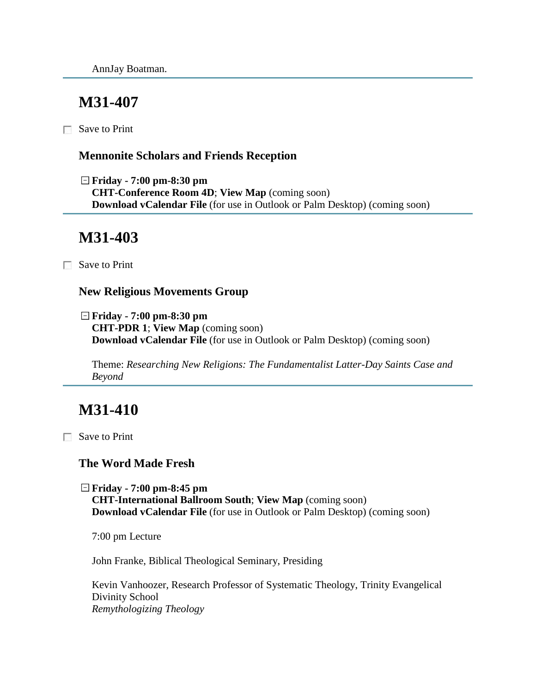## **M31-407**

 $\Box$  Save to Print

#### **Mennonite Scholars and Friends Reception**

**Friday - 7:00 pm-8:30 pm CHT-Conference Room 4D**; **View Map** (coming soon) **Download vCalendar File** (for use in Outlook or Palm Desktop) (coming soon)

## **M31-403**

Save to Print

#### **New Religious Movements Group**

**Friday - 7:00 pm-8:30 pm CHT-PDR 1**; **View Map** (coming soon) **Download vCalendar File** (for use in Outlook or Palm Desktop) (coming soon)

Theme: *Researching New Religions: The Fundamentalist Latter-Day Saints Case and Beyond*

# **M31-410**

Save to Print

#### **The Word Made Fresh**

**Friday - 7:00 pm-8:45 pm CHT-International Ballroom South**; **View Map** (coming soon) **Download vCalendar File** (for use in Outlook or Palm Desktop) (coming soon)

7:00 pm Lecture

John Franke, Biblical Theological Seminary, Presiding

Kevin Vanhoozer, Research Professor of Systematic Theology, Trinity Evangelical Divinity School *Remythologizing Theology*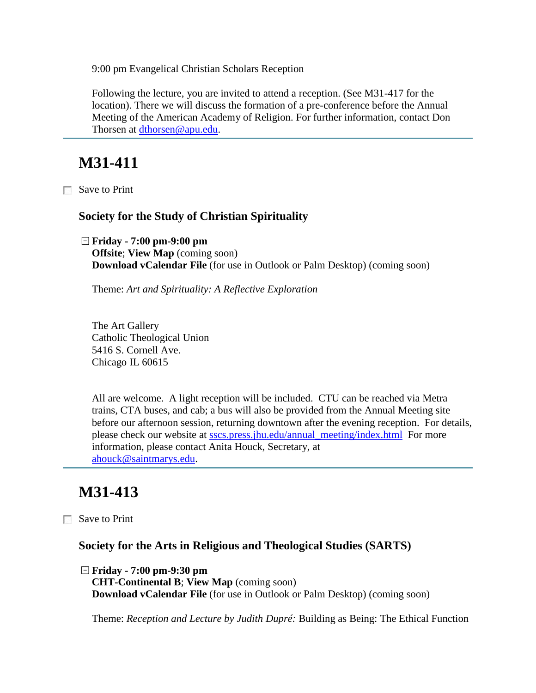9:00 pm Evangelical Christian Scholars Reception

Following the lecture, you are invited to attend a reception. (See M31-417 for the location). There we will discuss the formation of a pre-conference before the Annual Meeting of the American Academy of Religion. For further information, contact Don Thorsen at [dthorsen@apu.edu.](mailto:dthorsen@apu.edu)

# **M31-411**

Save to Print

#### **Society for the Study of Christian Spirituality**

**Friday - 7:00 pm-9:00 pm Offsite**; **View Map** (coming soon) **Download vCalendar File** (for use in Outlook or Palm Desktop) (coming soon)

Theme: *Art and Spirituality: A Reflective Exploration*

The Art Gallery Catholic Theological Union 5416 S. Cornell Ave. Chicago IL 60615

All are welcome. A light reception will be included. CTU can be reached via Metra trains, CTA buses, and cab; a bus will also be provided from the Annual Meeting site before our afternoon session, returning downtown after the evening reception. For details, please check our website at [sscs.press.jhu.edu/annual\\_meeting/index.html](http://sscs.press.jhu.edu/annual_meeting/index.html) For more information, please contact Anita Houck, Secretary, at [ahouck@saintmarys.edu.](mailto:ahouck@saintmarys.edu)

### **M31-413**

Save to Print

#### **Society for the Arts in Religious and Theological Studies (SARTS)**

**Friday - 7:00 pm-9:30 pm CHT-Continental B**; **View Map** (coming soon) **Download vCalendar File** (for use in Outlook or Palm Desktop) (coming soon)

Theme: *Reception and Lecture by Judith Dupré:* Building as Being: The Ethical Function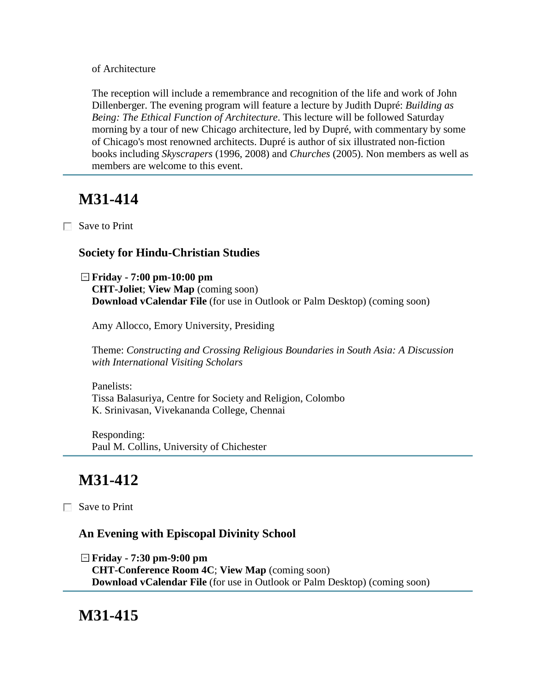of Architecture

The reception will include a remembrance and recognition of the life and work of John Dillenberger. The evening program will feature a lecture by Judith Dupré: *Building as Being: The Ethical Function of Architecture*. This lecture will be followed Saturday morning by a tour of new Chicago architecture, led by Dupré, with commentary by some of Chicago's most renowned architects. Dupré is author of six illustrated non-fiction books including *Skyscrapers* (1996, 2008) and *Churches* (2005). Non members as well as members are welcome to this event.

# **M31-414**

Save to Print

#### **Society for Hindu-Christian Studies**

**Friday - 7:00 pm-10:00 pm CHT-Joliet**; **View Map** (coming soon) **Download vCalendar File** (for use in Outlook or Palm Desktop) (coming soon)

Amy Allocco, Emory University, Presiding

Theme: *Constructing and Crossing Religious Boundaries in South Asia: A Discussion with International Visiting Scholars*

Panelists: Tissa Balasuriya, Centre for Society and Religion, Colombo K. Srinivasan, Vivekananda College, Chennai

Responding: Paul M. Collins, University of Chichester

# **M31-412**

□ Save to Print

### **An Evening with Episcopal Divinity School**

**Friday - 7:30 pm-9:00 pm CHT-Conference Room 4C**; **View Map** (coming soon) **Download vCalendar File** (for use in Outlook or Palm Desktop) (coming soon)

### **M31-415**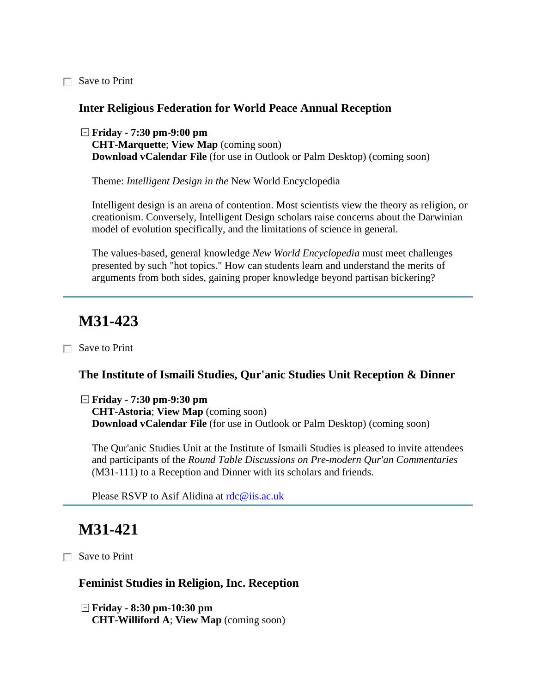Save to Print

#### **Inter Religious Federation for World Peace Annual Reception**

**Friday - 7:30 pm-9:00 pm CHT-Marquette**; **View Map** (coming soon) **Download vCalendar File** (for use in Outlook or Palm Desktop) (coming soon)

Theme: *Intelligent Design in the* New World Encyclopedia

Intelligent design is an arena of contention. Most scientists view the theory as religion, or creationism. Conversely, Intelligent Design scholars raise concerns about the Darwinian model of evolution specifically, and the limitations of science in general.

The values-based, general knowledge *New World Encyclopedia* must meet challenges presented by such "hot topics." How can students learn and understand the merits of arguments from both sides, gaining proper knowledge beyond partisan bickering?

## **M31-423**

Save to Print

#### **The Institute of Ismaili Studies, Qur'anic Studies Unit Reception & Dinner**

**Friday - 7:30 pm-9:30 pm**

**CHT-Astoria**; **View Map** (coming soon) **Download vCalendar File** (for use in Outlook or Palm Desktop) (coming soon)

The Qur'anic Studies Unit at the Institute of Ismaili Studies is pleased to invite attendees and participants of the *Round Table Discussions on Pre-modern Qur'an Commentaries* (M31-111) to a Reception and Dinner with its scholars and friends.

Please RSVP to Asif Alidina at [rdc@iis.ac.uk](mailto:rdc@iis.ac.uk)

## **M31-421**

Save to Print

#### **Feminist Studies in Religion, Inc. Reception**

**Friday - 8:30 pm-10:30 pm CHT-Williford A**; **View Map** (coming soon)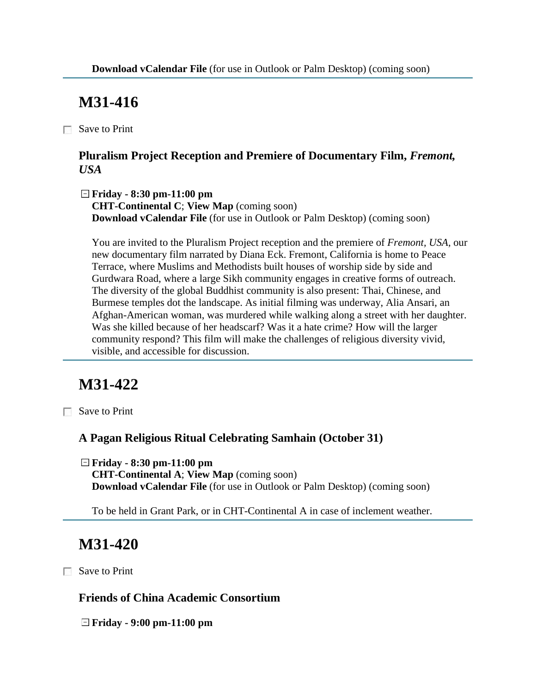# **M31-416**

Save to Print

### **Pluralism Project Reception and Premiere of Documentary Film,** *Fremont, USA*

**Friday - 8:30 pm-11:00 pm CHT-Continental C**; **View Map** (coming soon) **Download vCalendar File** (for use in Outlook or Palm Desktop) (coming soon)

You are invited to the Pluralism Project reception and the premiere of *Fremont, USA,* our new documentary film narrated by Diana Eck. Fremont, California is home to Peace Terrace, where Muslims and Methodists built houses of worship side by side and Gurdwara Road, where a large Sikh community engages in creative forms of outreach. The diversity of the global Buddhist community is also present: Thai, Chinese, and Burmese temples dot the landscape. As initial filming was underway, Alia Ansari, an Afghan-American woman, was murdered while walking along a street with her daughter. Was she killed because of her headscarf? Was it a hate crime? How will the larger community respond? This film will make the challenges of religious diversity vivid, visible, and accessible for discussion.

# **M31-422**

Save to Print

### **A Pagan Religious Ritual Celebrating Samhain (October 31)**

**Friday - 8:30 pm-11:00 pm CHT-Continental A**; **View Map** (coming soon) **Download vCalendar File** (for use in Outlook or Palm Desktop) (coming soon)

To be held in Grant Park, or in CHT-Continental A in case of inclement weather.

# **M31-420**

□ Save to Print

#### **Friends of China Academic Consortium**

**Friday - 9:00 pm-11:00 pm**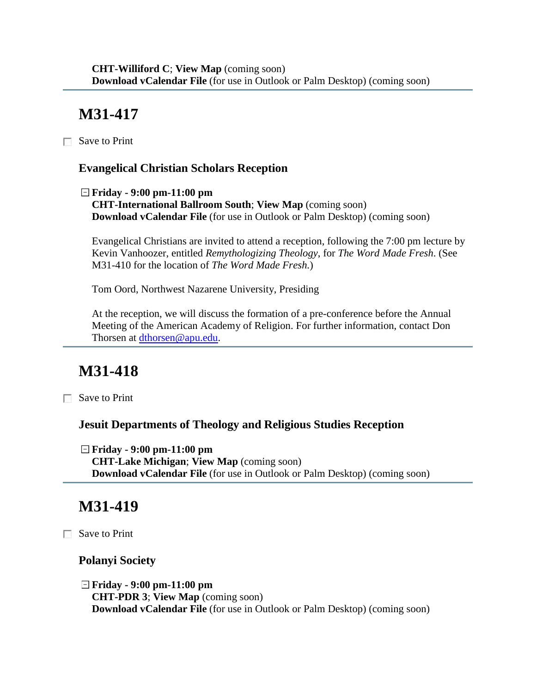# **M31-417**

□ Save to Print

### **Evangelical Christian Scholars Reception**

**Friday - 9:00 pm-11:00 pm CHT-International Ballroom South**; **View Map** (coming soon) **Download vCalendar File** (for use in Outlook or Palm Desktop) (coming soon)

Evangelical Christians are invited to attend a reception, following the 7:00 pm lecture by Kevin Vanhoozer, entitled *Remythologizing Theology*, for *The Word Made Fresh*. (See M31-410 for the location of *The Word Made Fresh.*)

Tom Oord, Northwest Nazarene University, Presiding

At the reception, we will discuss the formation of a pre-conference before the Annual Meeting of the American Academy of Religion. For further information, contact Don Thorsen at [dthorsen@apu.edu.](mailto:dthorsen@apu.edu)

# **M31-418**

Save to Print

### **Jesuit Departments of Theology and Religious Studies Reception**

**Friday - 9:00 pm-11:00 pm CHT-Lake Michigan**; **View Map** (coming soon) **Download vCalendar File** (for use in Outlook or Palm Desktop) (coming soon)

## **M31-419**

Save to Print

#### **Polanyi Society**

**Friday - 9:00 pm-11:00 pm CHT-PDR 3**; **View Map** (coming soon) **Download vCalendar File** (for use in Outlook or Palm Desktop) (coming soon)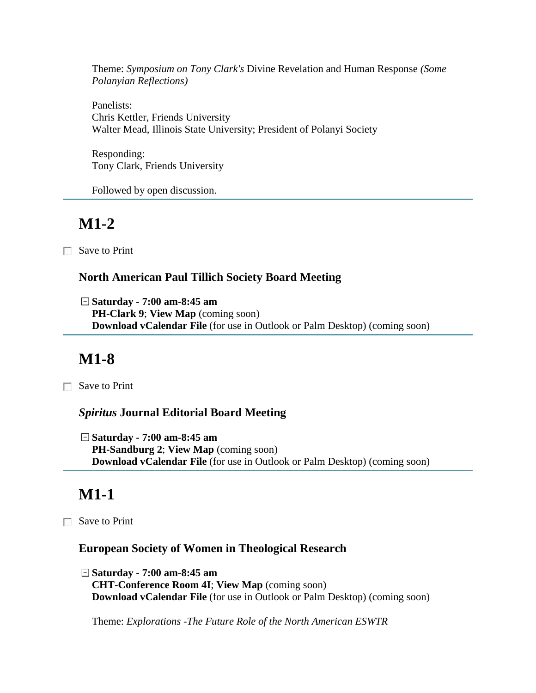Theme: *Symposium on Tony Clark's* Divine Revelation and Human Response *(Some Polanyian Reflections)* 

Panelists: Chris Kettler, Friends University Walter Mead, Illinois State University; President of Polanyi Society

Responding: Tony Clark, Friends University

Followed by open discussion.

## **M1-2**

Save to Print

### **North American Paul Tillich Society Board Meeting**

**Saturday - 7:00 am-8:45 am PH-Clark 9**; **View Map** (coming soon) **Download vCalendar File** (for use in Outlook or Palm Desktop) (coming soon)

# **M1-8**

Save to Print

#### *Spiritus* **Journal Editorial Board Meeting**

**Saturday - 7:00 am-8:45 am PH-Sandburg 2**; **View Map** (coming soon) **Download vCalendar File** (for use in Outlook or Palm Desktop) (coming soon)

# **M1-1**

Save to Print

#### **European Society of Women in Theological Research**

**Saturday - 7:00 am-8:45 am CHT-Conference Room 4I**; **View Map** (coming soon) **Download vCalendar File** (for use in Outlook or Palm Desktop) (coming soon)

Theme: *Explorations -The Future Role of the North American ESWTR*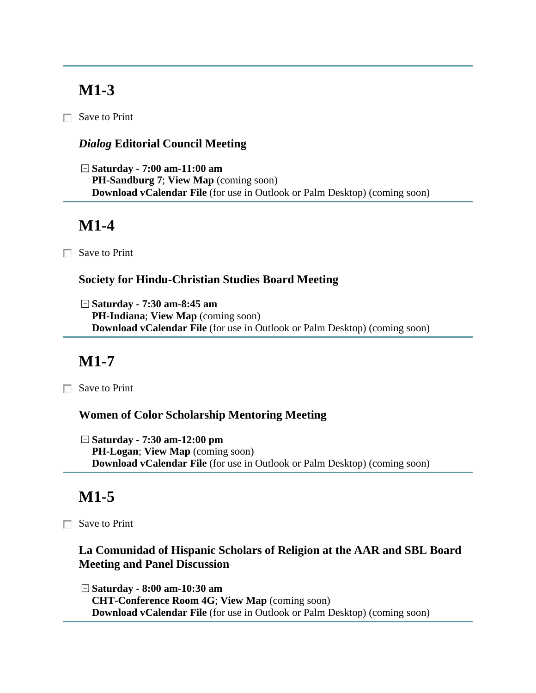Save to Print

### *Dialog* **Editorial Council Meeting**

**Saturday - 7:00 am-11:00 am PH-Sandburg 7**; **View Map** (coming soon) **Download vCalendar File** (for use in Outlook or Palm Desktop) (coming soon)

## **M1-4**

Save to Print

#### **Society for Hindu-Christian Studies Board Meeting**

**Saturday - 7:30 am-8:45 am PH-Indiana**; **View Map** (coming soon) **Download vCalendar File** (for use in Outlook or Palm Desktop) (coming soon)

# **M1-7**

Save to Print

#### **Women of Color Scholarship Mentoring Meeting**

**Saturday - 7:30 am-12:00 pm PH-Logan**; **View Map** (coming soon) **Download vCalendar File** (for use in Outlook or Palm Desktop) (coming soon)

# **M1-5**

Save to Print

### **La Comunidad of Hispanic Scholars of Religion at the AAR and SBL Board Meeting and Panel Discussion**

**Saturday - 8:00 am-10:30 am CHT-Conference Room 4G**; **View Map** (coming soon) **Download vCalendar File** (for use in Outlook or Palm Desktop) (coming soon)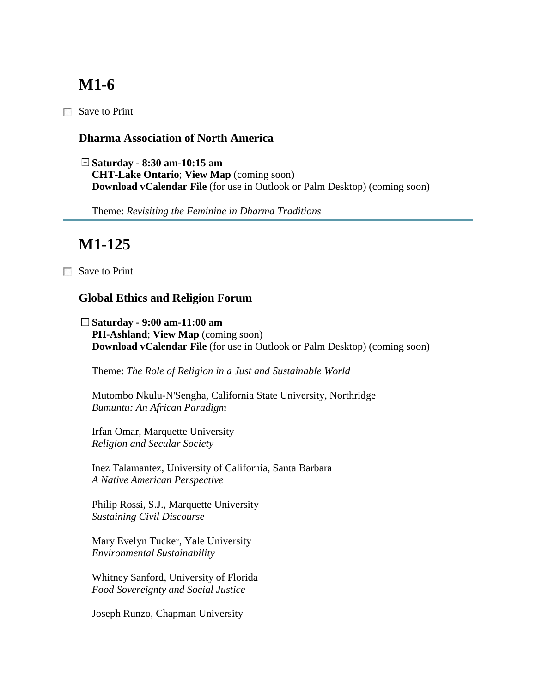Save to Print

#### **Dharma Association of North America**

**Saturday - 8:30 am-10:15 am CHT-Lake Ontario**; **View Map** (coming soon) **Download vCalendar File** (for use in Outlook or Palm Desktop) (coming soon)

Theme: *Revisiting the Feminine in Dharma Traditions*

# **M1-125**

□ Save to Print

### **Global Ethics and Religion Forum**

**Saturday - 9:00 am-11:00 am PH-Ashland**; **View Map** (coming soon) **Download vCalendar File** (for use in Outlook or Palm Desktop) (coming soon)

Theme: *The Role of Religion in a Just and Sustainable World*

Mutombo Nkulu-N'Sengha, California State University, Northridge *Bumuntu: An African Paradigm*

Irfan Omar, Marquette University *Religion and Secular Society*

Inez Talamantez, University of California, Santa Barbara *A Native American Perspective*

Philip Rossi, S.J., Marquette University *Sustaining Civil Discourse*

Mary Evelyn Tucker, Yale University *Environmental Sustainability*

Whitney Sanford, University of Florida *Food Sovereignty and Social Justice*

Joseph Runzo, Chapman University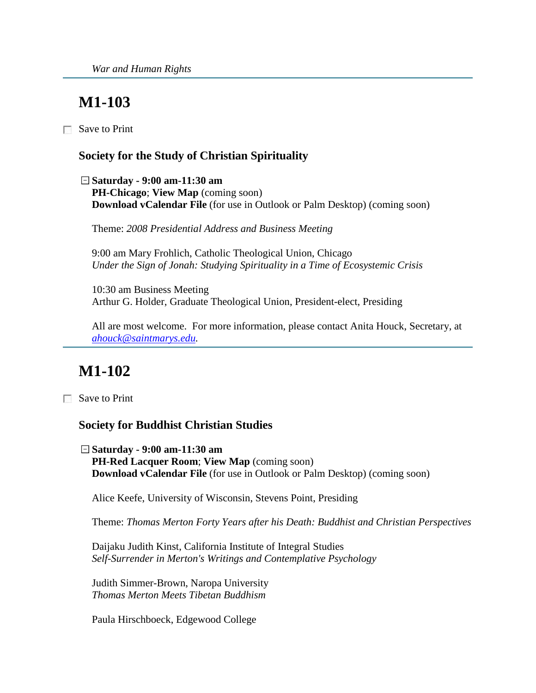Save to Print

#### **Society for the Study of Christian Spirituality**

**Saturday - 9:00 am-11:30 am PH-Chicago**; **View Map** (coming soon) **Download vCalendar File** (for use in Outlook or Palm Desktop) (coming soon)

Theme: *2008 Presidential Address and Business Meeting*

9:00 am Mary Frohlich, Catholic Theological Union, Chicago *Under the Sign of Jonah: Studying Spirituality in a Time of Ecosystemic Crisis*

10:30 am Business Meeting Arthur G. Holder, Graduate Theological Union, President-elect, Presiding

All are most welcome. For more information, please contact Anita Houck, Secretary, at *[ahouck@saintmarys.edu.](mailto:ahouck@saintmarys.edu)*

# **M1-102**

Save to Print

#### **Society for Buddhist Christian Studies**

**Saturday - 9:00 am-11:30 am PH-Red Lacquer Room**; **View Map** (coming soon) **Download vCalendar File** (for use in Outlook or Palm Desktop) (coming soon)

Alice Keefe, University of Wisconsin, Stevens Point, Presiding

Theme: *Thomas Merton Forty Years after his Death: Buddhist and Christian Perspectives*

Daijaku Judith Kinst, California Institute of Integral Studies *Self-Surrender in Merton's Writings and Contemplative Psychology*

Judith Simmer-Brown, Naropa University *Thomas Merton Meets Tibetan Buddhism*

Paula Hirschboeck, Edgewood College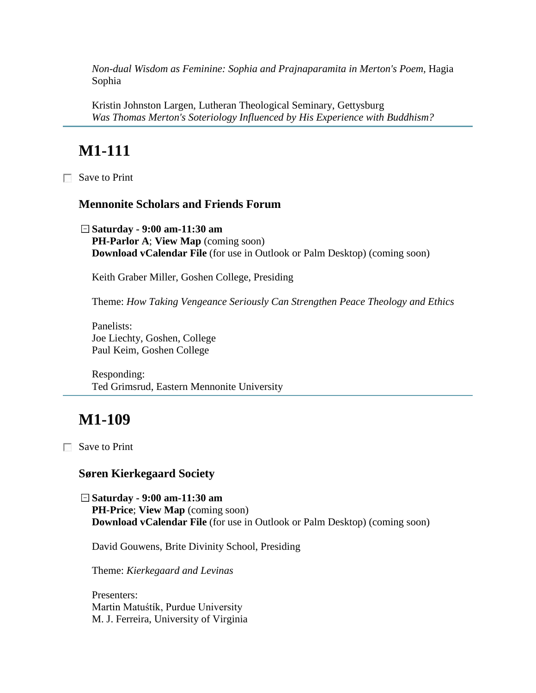*Non-dual Wisdom as Feminine: Sophia and Prajnaparamita in Merton's Poem,* Hagia Sophia

Kristin Johnston Largen, Lutheran Theological Seminary, Gettysburg *Was Thomas Merton's Soteriology Influenced by His Experience with Buddhism?*

# **M1-111**

Save to Print

#### **Mennonite Scholars and Friends Forum**

**Saturday - 9:00 am-11:30 am PH-Parlor A**; **View Map** (coming soon) **Download vCalendar File** (for use in Outlook or Palm Desktop) (coming soon)

Keith Graber Miller, Goshen College, Presiding

Theme: *How Taking Vengeance Seriously Can Strengthen Peace Theology and Ethics*

Panelists: Joe Liechty, Goshen, College Paul Keim, Goshen College

Responding: Ted Grimsrud, Eastern Mennonite University

## **M1-109**

Save to Print

#### **Søren Kierkegaard Society**

**Saturday - 9:00 am-11:30 am PH-Price**; **View Map** (coming soon) **Download vCalendar File** (for use in Outlook or Palm Desktop) (coming soon)

David Gouwens, Brite Divinity School, Presiding

Theme: *Kierkegaard and Levinas*

Presenters: Martin Matuśtík, Purdue University M. J. Ferreira, University of Virginia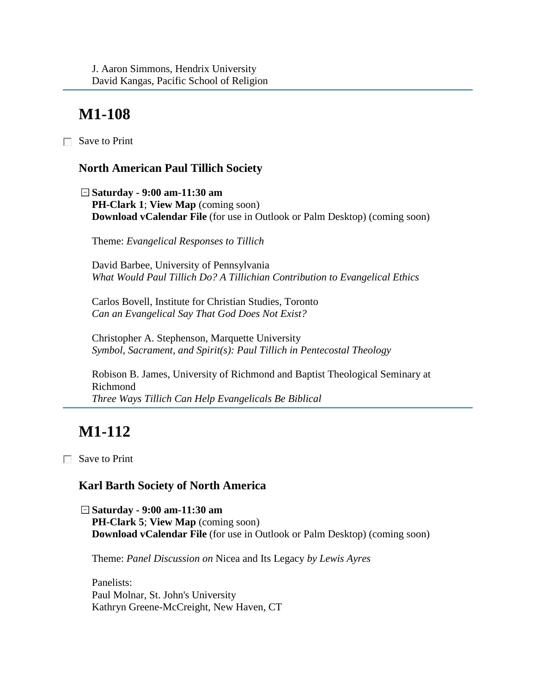□ Save to Print

### **North American Paul Tillich Society**

**Saturday - 9:00 am-11:30 am PH-Clark 1**; **View Map** (coming soon) **Download vCalendar File** (for use in Outlook or Palm Desktop) (coming soon)

Theme: *Evangelical Responses to Tillich*

David Barbee, University of Pennsylvania *What Would Paul Tillich Do? A Tillichian Contribution to Evangelical Ethics*

Carlos Bovell, Institute for Christian Studies, Toronto *Can an Evangelical Say That God Does Not Exist?*

Christopher A. Stephenson, Marquette University *Symbol, Sacrament, and Spirit(s): Paul Tillich in Pentecostal Theology*

Robison B. James, University of Richmond and Baptist Theological Seminary at Richmond *Three Ways Tillich Can Help Evangelicals Be Biblical*

# **M1-112**

Save to Print

### **Karl Barth Society of North America**

**Saturday - 9:00 am-11:30 am PH-Clark 5**; **View Map** (coming soon) **Download vCalendar File** (for use in Outlook or Palm Desktop) (coming soon)

Theme: *Panel Discussion on* Nicea and Its Legacy *by Lewis Ayres*

Panelists: Paul Molnar, St. John's University Kathryn Greene-McCreight, New Haven, CT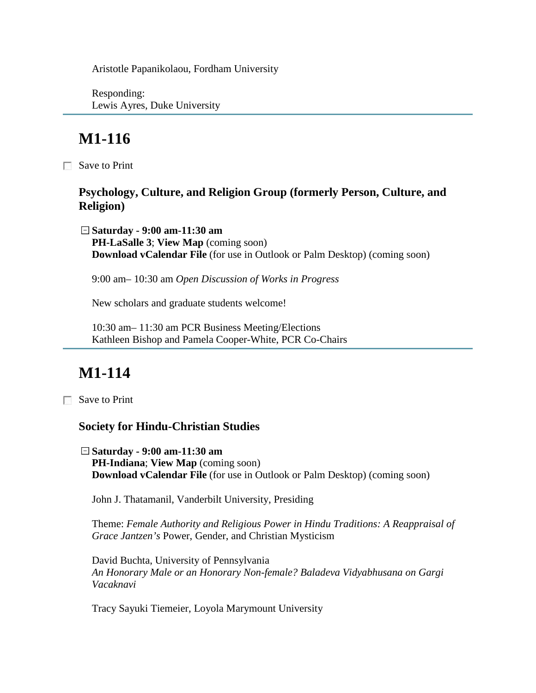Aristotle Papanikolaou, Fordham University

Responding: Lewis Ayres, Duke University

# **M1-116**

Save to Print

#### **Psychology, Culture, and Religion Group (formerly Person, Culture, and Religion)**

**Saturday - 9:00 am-11:30 am PH-LaSalle 3**; **View Map** (coming soon) **Download vCalendar File** (for use in Outlook or Palm Desktop) (coming soon)

9:00 am– 10:30 am *Open Discussion of Works in Progress* 

New scholars and graduate students welcome!

10:30 am– 11:30 am PCR Business Meeting/Elections Kathleen Bishop and Pamela Cooper-White, PCR Co-Chairs

# **M1-114**

Save to Print

#### **Society for Hindu-Christian Studies**

**Saturday - 9:00 am-11:30 am PH-Indiana**; **View Map** (coming soon) **Download vCalendar File** (for use in Outlook or Palm Desktop) (coming soon)

John J. Thatamanil, Vanderbilt University, Presiding

Theme: *Female Authority and Religious Power in Hindu Traditions: A Reappraisal of Grace Jantzen's* Power, Gender, and Christian Mysticism

David Buchta, University of Pennsylvania *An Honorary Male or an Honorary Non-female? Baladeva Vidyabhusana on Gargi Vacaknavi*

Tracy Sayuki Tiemeier, Loyola Marymount University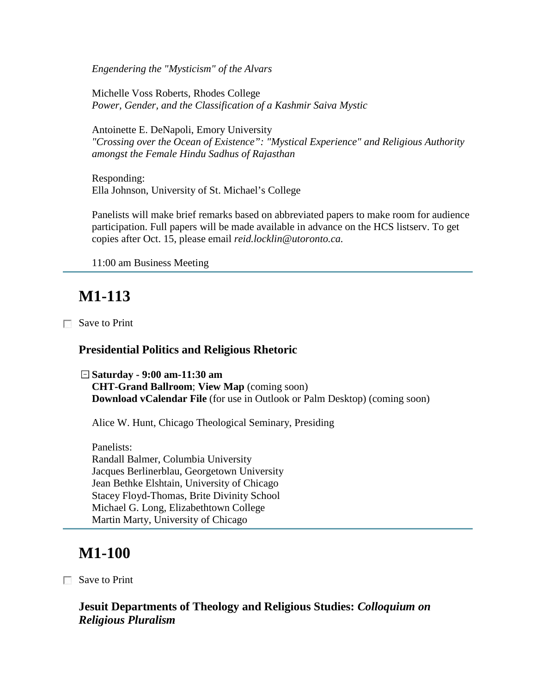*Engendering the "Mysticism" of the Alvars*

Michelle Voss Roberts, Rhodes College *Power, Gender, and the Classification of a Kashmir Saiva Mystic*

Antoinette E. DeNapoli, Emory University *"Crossing over the Ocean of Existence": "Mystical Experience" and Religious Authority amongst the Female Hindu Sadhus of Rajasthan*

Responding: Ella Johnson, University of St. Michael's College

Panelists will make brief remarks based on abbreviated papers to make room for audience participation. Full papers will be made available in advance on the HCS listserv. To get copies after Oct. 15, please email *reid.locklin@utoronto.ca.* 

11:00 am Business Meeting

## **M1-113**

Save to Print

#### **Presidential Politics and Religious Rhetoric**

**Saturday - 9:00 am-11:30 am CHT-Grand Ballroom**; **View Map** (coming soon) **Download vCalendar File** (for use in Outlook or Palm Desktop) (coming soon)

Alice W. Hunt, Chicago Theological Seminary, Presiding

Panelists: Randall Balmer, Columbia University Jacques Berlinerblau, Georgetown University Jean Bethke Elshtain, University of Chicago Stacey Floyd-Thomas, Brite Divinity School Michael G. Long, Elizabethtown College Martin Marty, University of Chicago

## **M1-100**

Save to Print

**Jesuit Departments of Theology and Religious Studies:** *Colloquium on Religious Pluralism*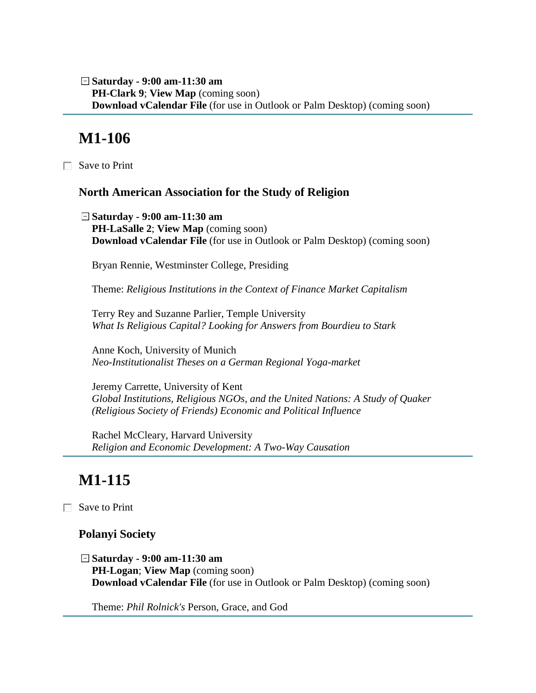**Saturday - 9:00 am-11:30 am PH-Clark 9**; **View Map** (coming soon) **Download vCalendar File** (for use in Outlook or Palm Desktop) (coming soon)

## **M1-106**

Save to Print

#### **North American Association for the Study of Religion**

**Saturday - 9:00 am-11:30 am PH-LaSalle 2**; **View Map** (coming soon) **Download vCalendar File** (for use in Outlook or Palm Desktop) (coming soon)

Bryan Rennie, Westminster College, Presiding

Theme: *Religious Institutions in the Context of Finance Market Capitalism*

Terry Rey and Suzanne Parlier, Temple University *What Is Religious Capital? Looking for Answers from Bourdieu to Stark*

Anne Koch, University of Munich *Neo-Institutionalist Theses on a German Regional Yoga-market*

Jeremy Carrette, University of Kent *Global Institutions, Religious NGOs, and the United Nations: A Study of Quaker (Religious Society of Friends) Economic and Political Influence*

Rachel McCleary, Harvard University *Religion and Economic Development: A Two-Way Causation*

# **M1-115**

Save to Print

#### **Polanyi Society**

**Saturday - 9:00 am-11:30 am PH-Logan**; **View Map** (coming soon) **Download vCalendar File** (for use in Outlook or Palm Desktop) (coming soon)

Theme: *Phil Rolnick's* Person, Grace, and God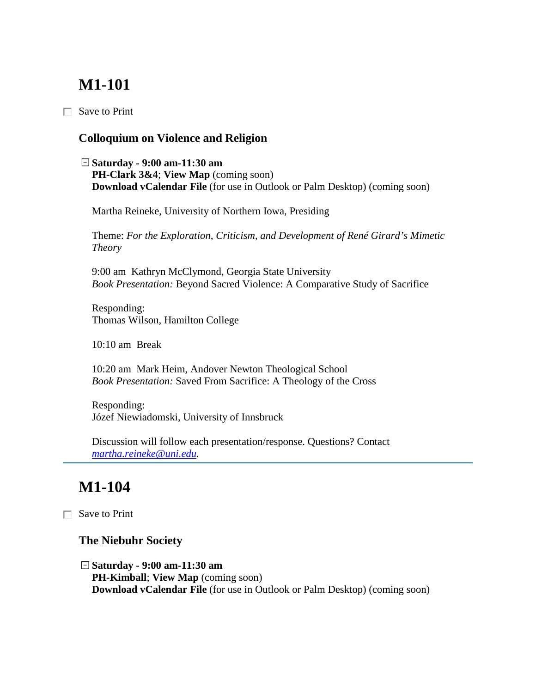# **M1-101**

 $\Box$  Save to Print

### **Colloquium on Violence and Religion**

**Saturday - 9:00 am-11:30 am PH-Clark 3&4**; **View Map** (coming soon) **Download vCalendar File** (for use in Outlook or Palm Desktop) (coming soon)

Martha Reineke, University of Northern Iowa, Presiding

Theme: *For the Exploration, Criticism, and Development of René Girard's Mimetic Theory*

9:00 am Kathryn McClymond, Georgia State University *Book Presentation:* Beyond Sacred Violence: A Comparative Study of Sacrifice

Responding: Thomas Wilson, Hamilton College

10:10 am Break

10:20 am Mark Heim, Andover Newton Theological School *Book Presentation:* Saved From Sacrifice: A Theology of the Cross

Responding: Józef Niewiadomski, University of Innsbruck

Discussion will follow each presentation/response. Questions? Contact *[martha.reineke@uni.edu.](mailto:martha.reineke@uni.edu)*

# **M1-104**

Save to Print

### **The Niebuhr Society**

**Saturday - 9:00 am-11:30 am PH-Kimball**; **View Map** (coming soon) **Download vCalendar File** (for use in Outlook or Palm Desktop) (coming soon)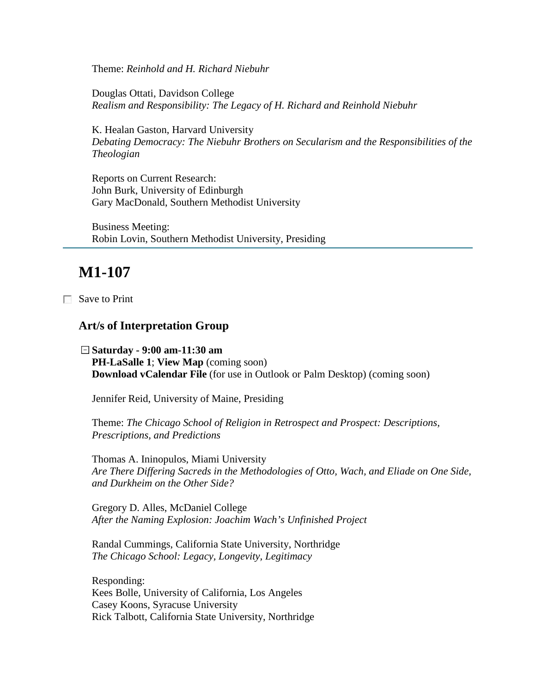Theme: *Reinhold and H. Richard Niebuhr*

Douglas Ottati, Davidson College *Realism and Responsibility: The Legacy of H. Richard and Reinhold Niebuhr*

K. Healan Gaston, Harvard University *Debating Democracy: The Niebuhr Brothers on Secularism and the Responsibilities of the Theologian*

Reports on Current Research: John Burk, University of Edinburgh Gary MacDonald, Southern Methodist University

Business Meeting: Robin Lovin, Southern Methodist University, Presiding

## **M1-107**

Save to Print

#### **Art/s of Interpretation Group**

**Saturday - 9:00 am-11:30 am PH-LaSalle 1**; **View Map** (coming soon) **Download vCalendar File** (for use in Outlook or Palm Desktop) (coming soon)

Jennifer Reid, University of Maine, Presiding

Theme: *The Chicago School of Religion in Retrospect and Prospect: Descriptions, Prescriptions, and Predictions*

Thomas A. Ininopulos, Miami University *Are There Differing Sacreds in the Methodologies of Otto, Wach, and Eliade on One Side, and Durkheim on the Other Side?*

Gregory D. Alles, McDaniel College *After the Naming Explosion: Joachim Wach's Unfinished Project*

Randal Cummings, California State University, Northridge *The Chicago School: Legacy, Longevity, Legitimacy*

Responding: Kees Bolle, University of California, Los Angeles Casey Koons, Syracuse University Rick Talbott, California State University, Northridge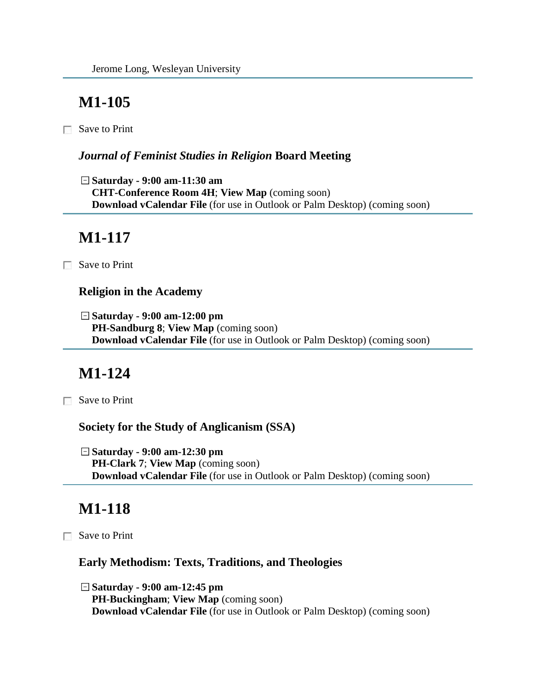# **M1-105**

Save to Print

### *Journal of Feminist Studies in Religion* **Board Meeting**

**Saturday - 9:00 am-11:30 am CHT-Conference Room 4H**; **View Map** (coming soon) **Download vCalendar File** (for use in Outlook or Palm Desktop) (coming soon)

# **M1-117**

Save to Print

### **Religion in the Academy**

**Saturday - 9:00 am-12:00 pm PH-Sandburg 8**; **View Map** (coming soon) **Download vCalendar File** (for use in Outlook or Palm Desktop) (coming soon)

# **M1-124**

**□** Save to Print

**Society for the Study of Anglicanism (SSA)**

**Saturday - 9:00 am-12:30 pm PH-Clark 7**; **View Map** (coming soon) **Download vCalendar File** (for use in Outlook or Palm Desktop) (coming soon)

# **M1-118**

**■ Save to Print** 

### **Early Methodism: Texts, Traditions, and Theologies**

**Saturday - 9:00 am-12:45 pm PH-Buckingham**; **View Map** (coming soon) **Download vCalendar File** (for use in Outlook or Palm Desktop) (coming soon)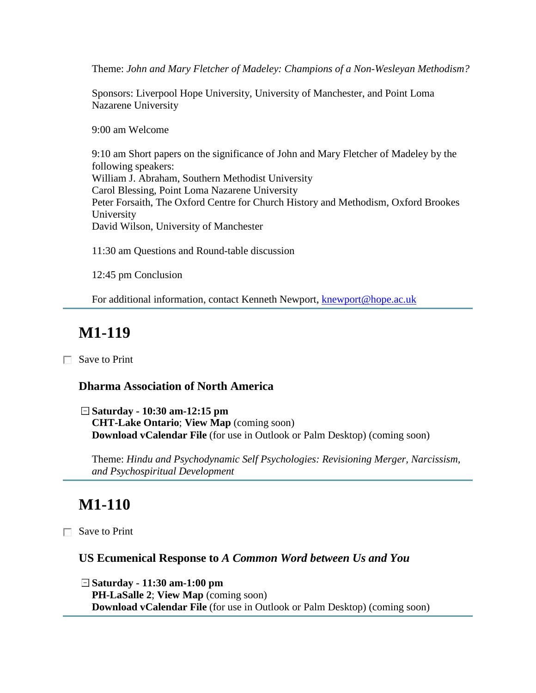Theme: *John and Mary Fletcher of Madeley: Champions of a Non-Wesleyan Methodism?*

Sponsors: Liverpool Hope University, University of Manchester, and Point Loma Nazarene University

9:00 am Welcome

9:10 am Short papers on the significance of John and Mary Fletcher of Madeley by the following speakers: William J. Abraham, Southern Methodist University Carol Blessing, Point Loma Nazarene University Peter Forsaith, The Oxford Centre for Church History and Methodism, Oxford Brookes University David Wilson, University of Manchester

11:30 am Questions and Round-table discussion

12:45 pm Conclusion

For additional information, contact Kenneth Newport, [knewport@hope.ac.uk](mailto:knewport@hope.ac.uk)

# **M1-119**

Save to Print

### **Dharma Association of North America**

**Saturday - 10:30 am-12:15 pm CHT-Lake Ontario**; **View Map** (coming soon) **Download vCalendar File** (for use in Outlook or Palm Desktop) (coming soon)

Theme: *Hindu and Psychodynamic Self Psychologies: Revisioning Merger, Narcissism, and Psychospiritual Development*

# **M1-110**

Save to Print

### **US Ecumenical Response to** *A Common Word between Us and You*

**Saturday - 11:30 am-1:00 pm PH-LaSalle 2**; **View Map** (coming soon) **Download vCalendar File** (for use in Outlook or Palm Desktop) (coming soon)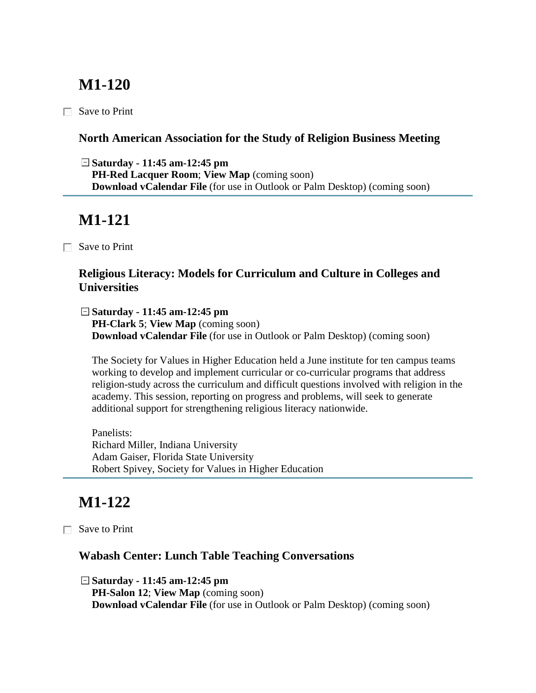## **M1-120**

 $\Box$  Save to Print

### **North American Association for the Study of Religion Business Meeting**

**Saturday - 11:45 am-12:45 pm PH-Red Lacquer Room**; **View Map** (coming soon) **Download vCalendar File** (for use in Outlook or Palm Desktop) (coming soon)

# **M1-121**

Save to Print

### **Religious Literacy: Models for Curriculum and Culture in Colleges and Universities**

**Saturday - 11:45 am-12:45 pm PH-Clark 5**; **View Map** (coming soon) **Download vCalendar File** (for use in Outlook or Palm Desktop) (coming soon)

The Society for Values in Higher Education held a June institute for ten campus teams working to develop and implement curricular or co-curricular programs that address religion-study across the curriculum and difficult questions involved with religion in the academy. This session, reporting on progress and problems, will seek to generate additional support for strengthening religious literacy nationwide.

Panelists: Richard Miller, Indiana University Adam Gaiser, Florida State University Robert Spivey, Society for Values in Higher Education

# **M1-122**

Save to Print

### **Wabash Center: Lunch Table Teaching Conversations**

**Saturday - 11:45 am-12:45 pm PH-Salon 12**; **View Map** (coming soon) **Download vCalendar File** (for use in Outlook or Palm Desktop) (coming soon)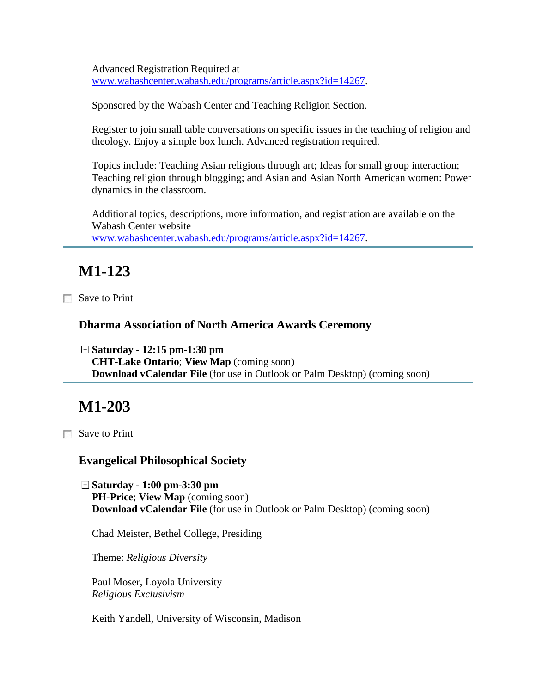Advanced Registration Required at [www.wabashcenter.wabash.edu/programs/article.aspx?id=14267.](http://www.wabashcenter.wabash.edu/programs/article.aspx?id=14267)

Sponsored by the Wabash Center and Teaching Religion Section.

Register to join small table conversations on specific issues in the teaching of religion and theology. Enjoy a simple box lunch. Advanced registration required.

Topics include: Teaching Asian religions through art; Ideas for small group interaction; Teaching religion through blogging; and Asian and Asian North American women: Power dynamics in the classroom.

Additional topics, descriptions, more information, and registration are available on the Wabash Center website [www.wabashcenter.wabash.edu/programs/article.aspx?id=14267.](http://www.wabashcenter.wabash.edu/programs/article.aspx?id=14267)

# **M1-123**

Save to Print

#### **Dharma Association of North America Awards Ceremony**

**Saturday - 12:15 pm-1:30 pm CHT-Lake Ontario**; **View Map** (coming soon) **Download vCalendar File** (for use in Outlook or Palm Desktop) (coming soon)

# **M1-203**

 $\Box$  Save to Print

#### **Evangelical Philosophical Society**

**Saturday - 1:00 pm-3:30 pm PH-Price**; **View Map** (coming soon) **Download vCalendar File** (for use in Outlook or Palm Desktop) (coming soon)

Chad Meister, Bethel College, Presiding

Theme: *Religious Diversity*

Paul Moser, Loyola University *Religious Exclusivism*

Keith Yandell, University of Wisconsin, Madison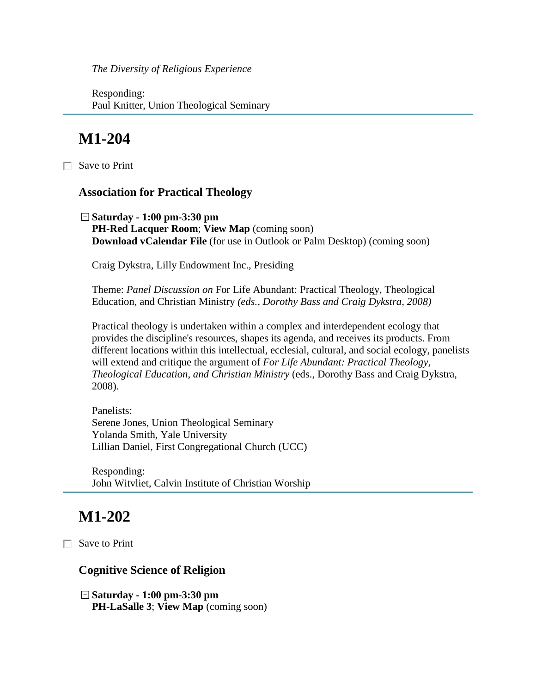*The Diversity of Religious Experience*

Responding: Paul Knitter, Union Theological Seminary

## **M1-204**

Save to Print

#### **Association for Practical Theology**

**Saturday - 1:00 pm-3:30 pm PH-Red Lacquer Room**; **View Map** (coming soon) **Download vCalendar File** (for use in Outlook or Palm Desktop) (coming soon)

Craig Dykstra, Lilly Endowment Inc., Presiding

Theme: *Panel Discussion on* For Life Abundant: Practical Theology, Theological Education, and Christian Ministry *(eds., Dorothy Bass and Craig Dykstra, 2008)*

Practical theology is undertaken within a complex and interdependent ecology that provides the discipline's resources, shapes its agenda, and receives its products. From different locations within this intellectual, ecclesial, cultural, and social ecology, panelists will extend and critique the argument of *For Life Abundant: Practical Theology, Theological Education, and Christian Ministry* (eds., Dorothy Bass and Craig Dykstra, 2008).

Panelists: Serene Jones, Union Theological Seminary Yolanda Smith, Yale University Lillian Daniel, First Congregational Church (UCC)

Responding: John Witvliet, Calvin Institute of Christian Worship

## **M1-202**

Save to Print

#### **Cognitive Science of Religion**

**Saturday - 1:00 pm-3:30 pm PH-LaSalle 3**; **View Map** (coming soon)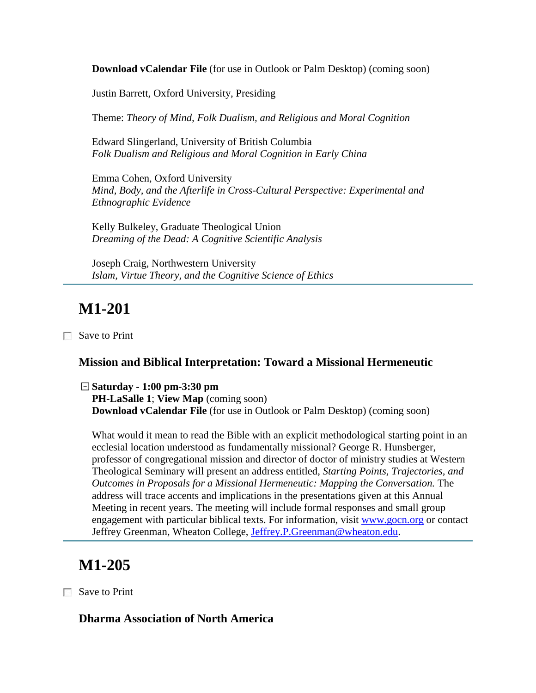**Download vCalendar File** (for use in Outlook or Palm Desktop) (coming soon)

Justin Barrett, Oxford University, Presiding

Theme: *Theory of Mind, Folk Dualism, and Religious and Moral Cognition*

Edward Slingerland, University of British Columbia *Folk Dualism and Religious and Moral Cognition in Early China*

Emma Cohen, Oxford University *Mind, Body, and the Afterlife in Cross-Cultural Perspective: Experimental and Ethnographic Evidence*

Kelly Bulkeley, Graduate Theological Union *Dreaming of the Dead: A Cognitive Scientific Analysis*

Joseph Craig, Northwestern University *Islam, Virtue Theory, and the Cognitive Science of Ethics*

## **M1-201**

Save to Print

#### **Mission and Biblical Interpretation: Toward a Missional Hermeneutic**

**Saturday - 1:00 pm-3:30 pm PH-LaSalle 1**; **View Map** (coming soon) **Download vCalendar File** (for use in Outlook or Palm Desktop) (coming soon)

What would it mean to read the Bible with an explicit methodological starting point in an ecclesial location understood as fundamentally missional? George R. Hunsberger, professor of congregational mission and director of doctor of ministry studies at Western Theological Seminary will present an address entitled, *Starting Points, Trajectories, and Outcomes in Proposals for a Missional Hermeneutic: Mapping the Conversation.* The address will trace accents and implications in the presentations given at this Annual Meeting in recent years. The meeting will include formal responses and small group engagement with particular biblical texts. For information, visit [www.gocn.org](http://www.gocn.org/) or contact Jeffrey Greenman, Wheaton College, [Jeffrey.P.Greenman@wheaton.edu.](mailto:Jeffrey.P.Greenman@wheaton.edu)

### **M1-205**

Save to Print

#### **Dharma Association of North America**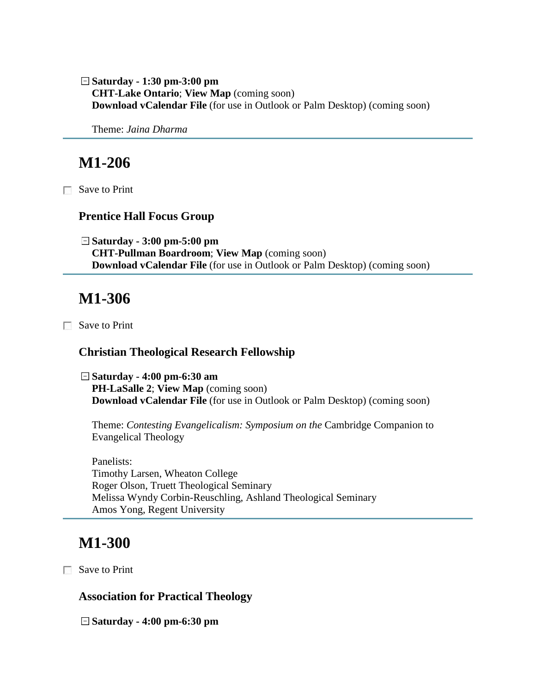**Saturday - 1:30 pm-3:00 pm CHT-Lake Ontario**; **View Map** (coming soon) **Download vCalendar File** (for use in Outlook or Palm Desktop) (coming soon)

Theme: *Jaina Dharma*

## **M1-206**

Save to Print

#### **Prentice Hall Focus Group**

**Saturday - 3:00 pm-5:00 pm CHT-Pullman Boardroom**; **View Map** (coming soon) **Download vCalendar File** (for use in Outlook or Palm Desktop) (coming soon)

### **M1-306**

Save to Print

#### **Christian Theological Research Fellowship**

**Saturday - 4:00 pm-6:30 am PH-LaSalle 2**; **View Map** (coming soon) **Download vCalendar File** (for use in Outlook or Palm Desktop) (coming soon)

Theme: *Contesting Evangelicalism: Symposium on the* Cambridge Companion to Evangelical Theology

Panelists: Timothy Larsen, Wheaton College Roger Olson, Truett Theological Seminary Melissa Wyndy Corbin-Reuschling, Ashland Theological Seminary Amos Yong, Regent University

### **M1-300**

Save to Print

**Association for Practical Theology**

**Saturday - 4:00 pm-6:30 pm**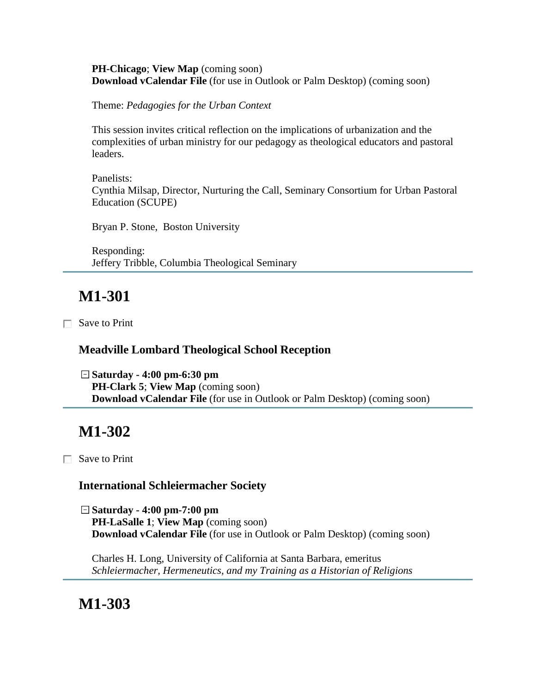#### **PH-Chicago**; **View Map** (coming soon) **Download vCalendar File** (for use in Outlook or Palm Desktop) (coming soon)

Theme: *Pedagogies for the Urban Context*

This session invites critical reflection on the implications of urbanization and the complexities of urban ministry for our pedagogy as theological educators and pastoral leaders.

Panelists: Cynthia Milsap, Director, Nurturing the Call, Seminary Consortium for Urban Pastoral Education (SCUPE)

Bryan P. Stone, Boston University

Responding: Jeffery Tribble, Columbia Theological Seminary

# **M1-301**

Save to Print

### **Meadville Lombard Theological School Reception**

**Saturday - 4:00 pm-6:30 pm PH-Clark 5**; **View Map** (coming soon) **Download vCalendar File** (for use in Outlook or Palm Desktop) (coming soon)

# **M1-302**

Save to Print

### **International Schleiermacher Society**

**Saturday - 4:00 pm-7:00 pm PH-LaSalle 1**; **View Map** (coming soon) **Download vCalendar File** (for use in Outlook or Palm Desktop) (coming soon)

Charles H. Long, University of California at Santa Barbara, emeritus *Schleiermacher, Hermeneutics, and my Training as a Historian of Religions*

**M1-303**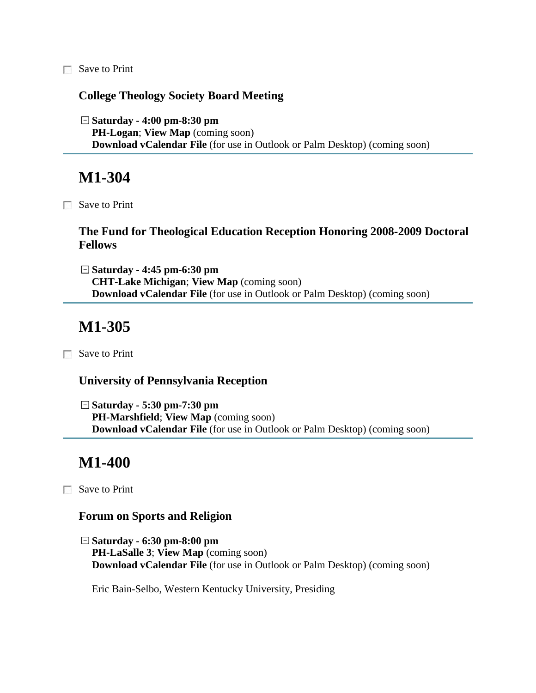Save to Print

#### **College Theology Society Board Meeting**

**Saturday - 4:00 pm-8:30 pm PH-Logan**; **View Map** (coming soon) **Download vCalendar File** (for use in Outlook or Palm Desktop) (coming soon)

### **M1-304**

Save to Print

#### **The Fund for Theological Education Reception Honoring 2008-2009 Doctoral Fellows**

**Saturday - 4:45 pm-6:30 pm CHT-Lake Michigan**; **View Map** (coming soon) **Download vCalendar File** (for use in Outlook or Palm Desktop) (coming soon)

### **M1-305**

Save to Print

#### **University of Pennsylvania Reception**

**Saturday - 5:30 pm-7:30 pm PH-Marshfield**; **View Map** (coming soon) **Download vCalendar File** (for use in Outlook or Palm Desktop) (coming soon)

### **M1-400**

Save to Print

#### **Forum on Sports and Religion**

**Saturday - 6:30 pm-8:00 pm PH-LaSalle 3**; **View Map** (coming soon) **Download vCalendar File** (for use in Outlook or Palm Desktop) (coming soon)

Eric Bain-Selbo, Western Kentucky University, Presiding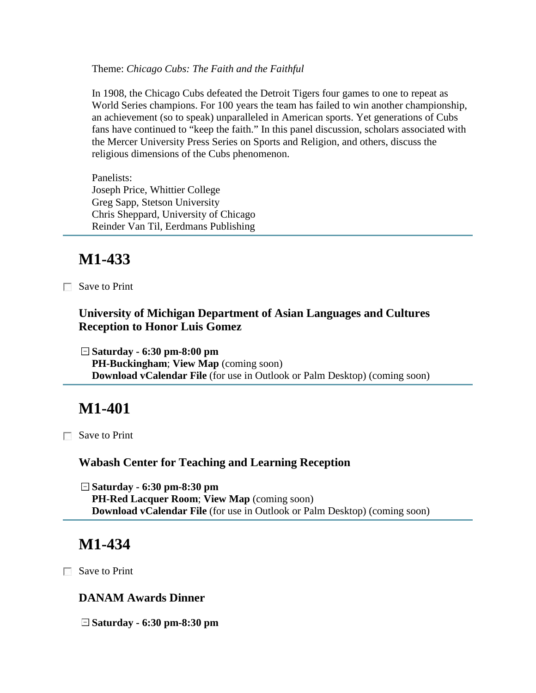Theme: *Chicago Cubs: The Faith and the Faithful*

In 1908, the Chicago Cubs defeated the Detroit Tigers four games to one to repeat as World Series champions. For 100 years the team has failed to win another championship, an achievement (so to speak) unparalleled in American sports. Yet generations of Cubs fans have continued to "keep the faith." In this panel discussion, scholars associated with the Mercer University Press Series on Sports and Religion, and others, discuss the religious dimensions of the Cubs phenomenon.

Panelists: Joseph Price, Whittier College Greg Sapp, Stetson University Chris Sheppard, University of Chicago Reinder Van Til, Eerdmans Publishing

## **M1-433**

Save to Print

### **University of Michigan Department of Asian Languages and Cultures Reception to Honor Luis Gomez**

**Saturday - 6:30 pm-8:00 pm PH-Buckingham**; **View Map** (coming soon) **Download vCalendar File** (for use in Outlook or Palm Desktop) (coming soon)

# **M1-401**

Save to Print

### **Wabash Center for Teaching and Learning Reception**

**Saturday - 6:30 pm-8:30 pm PH-Red Lacquer Room**; **View Map** (coming soon) **Download vCalendar File** (for use in Outlook or Palm Desktop) (coming soon)

# **M1-434**

□ Save to Print

### **DANAM Awards Dinner**

**Saturday - 6:30 pm-8:30 pm**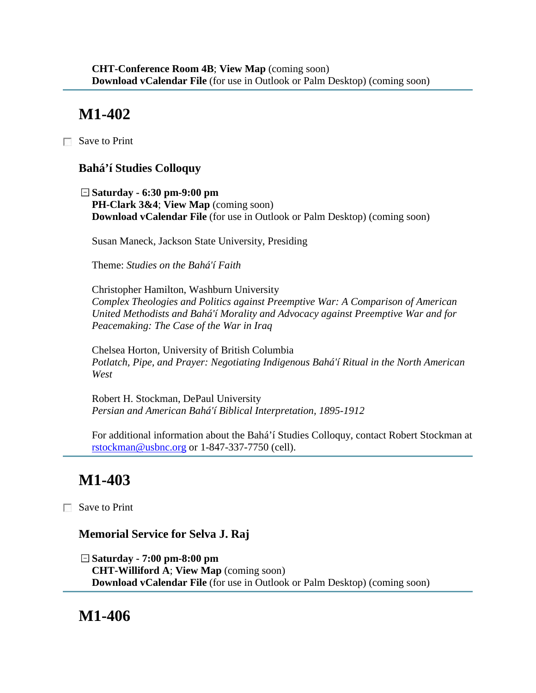# **M1-402**

□ Save to Print

### **Bahá'í Studies Colloquy**

**Saturday - 6:30 pm-9:00 pm PH-Clark 3&4**; **View Map** (coming soon) **Download vCalendar File** (for use in Outlook or Palm Desktop) (coming soon)

Susan Maneck, Jackson State University, Presiding

Theme: *Studies on the Bahá'í Faith*

Christopher Hamilton, Washburn University *Complex Theologies and Politics against Preemptive War: A Comparison of American United Methodists and Bahá'í Morality and Advocacy against Preemptive War and for Peacemaking: The Case of the War in Iraq*

Chelsea Horton, University of British Columbia *Potlatch, Pipe, and Prayer: Negotiating Indigenous Bahá'í Ritual in the North American West*

Robert H. Stockman, DePaul University *Persian and American Bahá'í Biblical Interpretation, 1895-1912*

For additional information about the Bahá'í Studies Colloquy, contact Robert Stockman at [rstockman@usbnc.org](mailto:rstockman@usbnc.org) or 1-847-337-7750 (cell).

# **M1-403**

Save to Print

### **Memorial Service for Selva J. Raj**

**Saturday - 7:00 pm-8:00 pm CHT-Williford A**; **View Map** (coming soon) **Download vCalendar File** (for use in Outlook or Palm Desktop) (coming soon)

### **M1-406**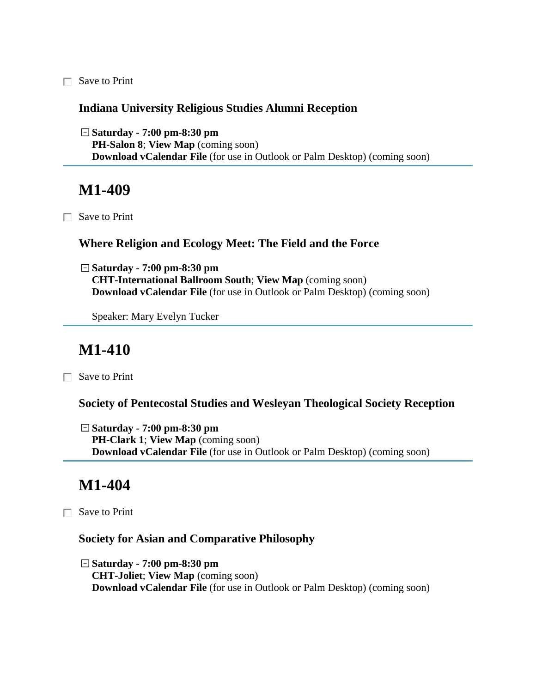Save to Print

#### **Indiana University Religious Studies Alumni Reception**

**Saturday - 7:00 pm-8:30 pm PH-Salon 8**; **View Map** (coming soon) **Download vCalendar File** (for use in Outlook or Palm Desktop) (coming soon)

### **M1-409**

Save to Print

#### **Where Religion and Ecology Meet: The Field and the Force**

**Saturday - 7:00 pm-8:30 pm CHT-International Ballroom South**; **View Map** (coming soon) **Download vCalendar File** (for use in Outlook or Palm Desktop) (coming soon)

Speaker: Mary Evelyn Tucker

## **M1-410**

Save to Print

**Society of Pentecostal Studies and Wesleyan Theological Society Reception**

**Saturday - 7:00 pm-8:30 pm PH-Clark 1**; **View Map** (coming soon) **Download vCalendar File** (for use in Outlook or Palm Desktop) (coming soon)

## **M1-404**

Save to Print

#### **Society for Asian and Comparative Philosophy**

**Saturday - 7:00 pm-8:30 pm CHT-Joliet**; **View Map** (coming soon) **Download vCalendar File** (for use in Outlook or Palm Desktop) (coming soon)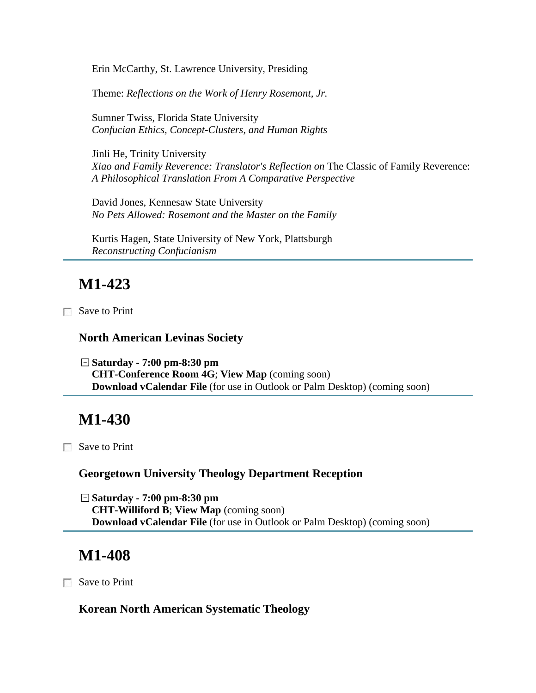Erin McCarthy, St. Lawrence University, Presiding

Theme: *Reflections on the Work of Henry Rosemont, Jr.*

Sumner Twiss, Florida State University *Confucian Ethics, Concept-Clusters, and Human Rights*

Jinli He, Trinity University *Xiao and Family Reverence: Translator's Reflection on* The Classic of Family Reverence: *A Philosophical Translation From A Comparative Perspective*

David Jones, Kennesaw State University *No Pets Allowed: Rosemont and the Master on the Family*

Kurtis Hagen, State University of New York, Plattsburgh *Reconstructing Confucianism*

# **M1-423**

Save to Print

#### **North American Levinas Society**

**Saturday - 7:00 pm-8:30 pm CHT-Conference Room 4G**; **View Map** (coming soon) **Download vCalendar File** (for use in Outlook or Palm Desktop) (coming soon)

### **M1-430**

Save to Print

#### **Georgetown University Theology Department Reception**

**Saturday - 7:00 pm-8:30 pm CHT-Williford B**; **View Map** (coming soon) **Download vCalendar File** (for use in Outlook or Palm Desktop) (coming soon)

### **M1-408**

Save to Print

#### **Korean North American Systematic Theology**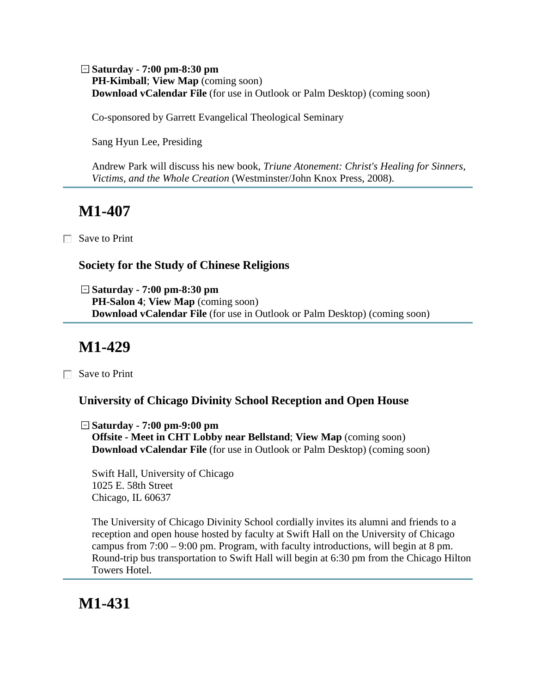**Saturday - 7:00 pm-8:30 pm PH-Kimball**; **View Map** (coming soon) **Download vCalendar File** (for use in Outlook or Palm Desktop) (coming soon)

Co-sponsored by Garrett Evangelical Theological Seminary

Sang Hyun Lee, Presiding

Andrew Park will discuss his new book, *Triune Atonement: Christ's Healing for Sinners, Victims, and the Whole Creation* (Westminster/John Knox Press, 2008).

## **M1-407**

□ Save to Print

### **Society for the Study of Chinese Religions**

**Saturday - 7:00 pm-8:30 pm PH-Salon 4**; **View Map** (coming soon) **Download vCalendar File** (for use in Outlook or Palm Desktop) (coming soon)

## **M1-429**

Save to Print

### **University of Chicago Divinity School Reception and Open House**

**Saturday - 7:00 pm-9:00 pm Offsite - Meet in CHT Lobby near Bellstand**; **View Map** (coming soon) **Download vCalendar File** (for use in Outlook or Palm Desktop) (coming soon)

Swift Hall, University of Chicago 1025 E. 58th Street Chicago, IL 60637

The University of Chicago Divinity School cordially invites its alumni and friends to a reception and open house hosted by faculty at Swift Hall on the University of Chicago campus from 7:00 – 9:00 pm. Program, with faculty introductions, will begin at 8 pm. Round-trip bus transportation to Swift Hall will begin at 6:30 pm from the Chicago Hilton Towers Hotel.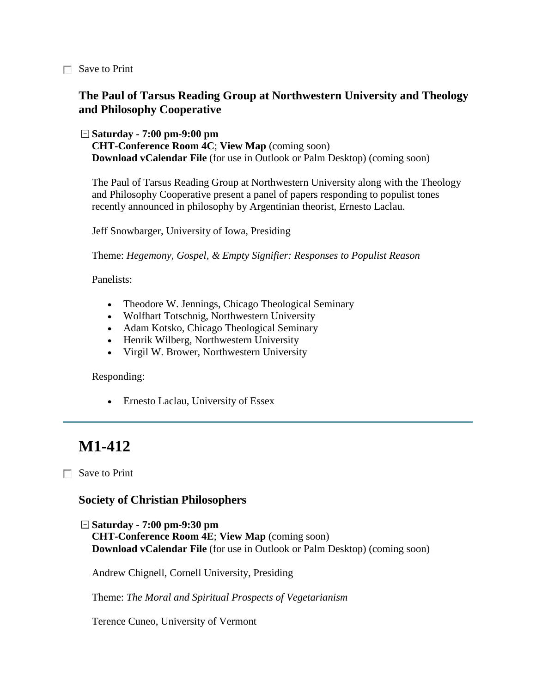Save to Print

### **The Paul of Tarsus Reading Group at Northwestern University and Theology and Philosophy Cooperative**

#### **Saturday - 7:00 pm-9:00 pm**

**CHT-Conference Room 4C**; **View Map** (coming soon) **Download vCalendar File** (for use in Outlook or Palm Desktop) (coming soon)

The Paul of Tarsus Reading Group at Northwestern University along with the Theology and Philosophy Cooperative present a panel of papers responding to populist tones recently announced in philosophy by Argentinian theorist, Ernesto Laclau.

Jeff Snowbarger, University of Iowa, Presiding

Theme: *Hegemony, Gospel, & Empty Signifier: Responses to Populist Reason*

Panelists:

- Theodore W. Jennings, Chicago Theological Seminary
- Wolfhart Totschnig, Northwestern University
- Adam Kotsko, Chicago Theological Seminary
- Henrik Wilberg, Northwestern University
- Virgil W. Brower, Northwestern University

Responding:

• Ernesto Laclau, University of Essex

# **M1-412**

**□** Save to Print

#### **Society of Christian Philosophers**

**Saturday - 7:00 pm-9:30 pm CHT-Conference Room 4E**; **View Map** (coming soon) **Download vCalendar File** (for use in Outlook or Palm Desktop) (coming soon)

Andrew Chignell, Cornell University, Presiding

Theme: *The Moral and Spiritual Prospects of Vegetarianism*

Terence Cuneo, University of Vermont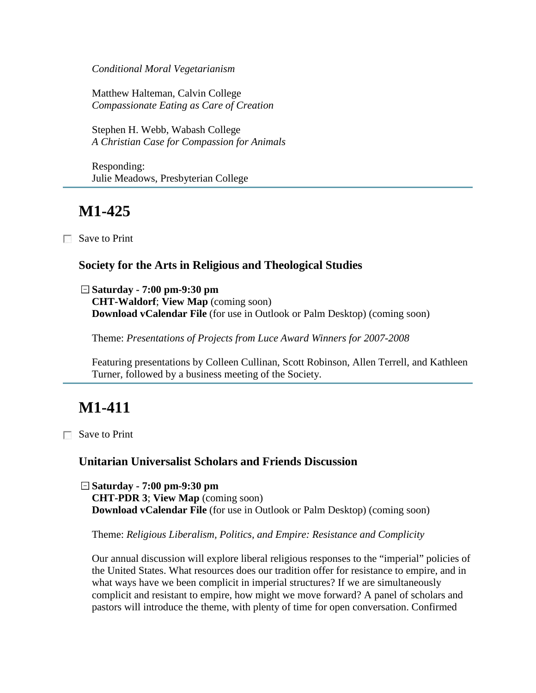*Conditional Moral Vegetarianism*

Matthew Halteman, Calvin College *Compassionate Eating as Care of Creation*

Stephen H. Webb, Wabash College *A Christian Case for Compassion for Animals*

Responding: Julie Meadows, Presbyterian College

## **M1-425**

Save to Print

#### **Society for the Arts in Religious and Theological Studies**

**Saturday - 7:00 pm-9:30 pm CHT-Waldorf**; **View Map** (coming soon) **Download vCalendar File** (for use in Outlook or Palm Desktop) (coming soon)

Theme: *Presentations of Projects from Luce Award Winners for 2007-2008*

Featuring presentations by Colleen Cullinan, Scott Robinson, Allen Terrell, and Kathleen Turner, followed by a business meeting of the Society.

# **M1-411**

□ Save to Print

#### **Unitarian Universalist Scholars and Friends Discussion**

**Saturday - 7:00 pm-9:30 pm CHT-PDR 3**; **View Map** (coming soon) **Download vCalendar File** (for use in Outlook or Palm Desktop) (coming soon)

Theme: *Religious Liberalism, Politics, and Empire: Resistance and Complicity*

Our annual discussion will explore liberal religious responses to the "imperial" policies of the United States. What resources does our tradition offer for resistance to empire, and in what ways have we been complicit in imperial structures? If we are simultaneously complicit and resistant to empire, how might we move forward? A panel of scholars and pastors will introduce the theme, with plenty of time for open conversation. Confirmed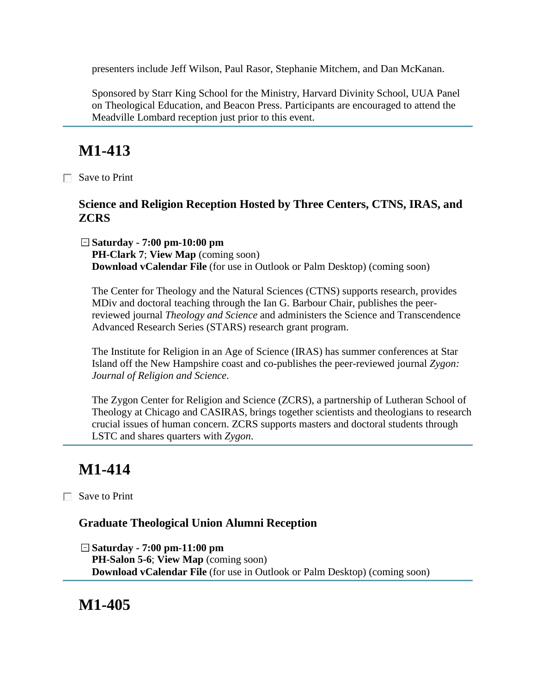presenters include Jeff Wilson, Paul Rasor, Stephanie Mitchem, and Dan McKanan.

Sponsored by Starr King School for the Ministry, Harvard Divinity School, UUA Panel on Theological Education, and Beacon Press. Participants are encouraged to attend the Meadville Lombard reception just prior to this event.

# **M1-413**

Save to Print

### **Science and Religion Reception Hosted by Three Centers, CTNS, IRAS, and ZCRS**

**Saturday - 7:00 pm-10:00 pm PH-Clark 7**; **View Map** (coming soon) **Download vCalendar File** (for use in Outlook or Palm Desktop) (coming soon)

The Center for Theology and the Natural Sciences (CTNS) supports research, provides MDiv and doctoral teaching through the Ian G. Barbour Chair, publishes the peerreviewed journal *Theology and Science* and administers the Science and Transcendence Advanced Research Series (STARS) research grant program.

The Institute for Religion in an Age of Science (IRAS) has summer conferences at Star Island off the New Hampshire coast and co-publishes the peer-reviewed journal *Zygon: Journal of Religion and Science*.

The Zygon Center for Religion and Science (ZCRS), a partnership of Lutheran School of Theology at Chicago and CASIRAS, brings together scientists and theologians to research crucial issues of human concern. ZCRS supports masters and doctoral students through LSTC and shares quarters with *Zygon*.

# **M1-414**

Save to Print

### **Graduate Theological Union Alumni Reception**

**Saturday - 7:00 pm-11:00 pm PH-Salon 5-6**; **View Map** (coming soon) **Download vCalendar File** (for use in Outlook or Palm Desktop) (coming soon)

**M1-405**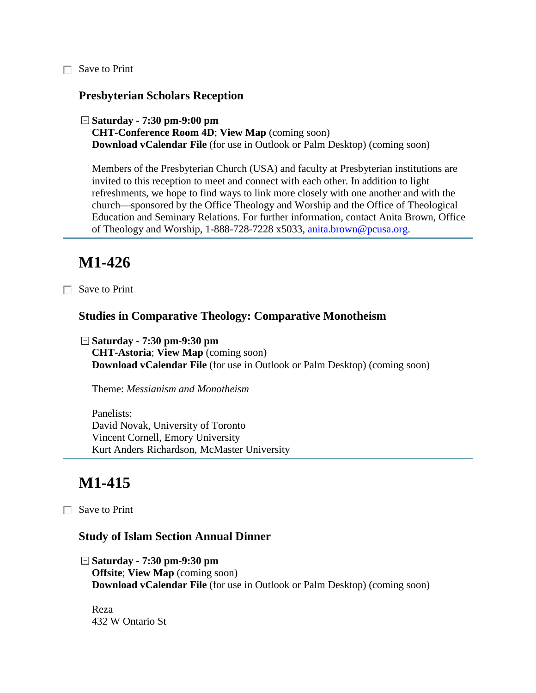Save to Print

#### **Presbyterian Scholars Reception**

```
Saturday - 7:30 pm-9:00 pm
```
**CHT-Conference Room 4D**; **View Map** (coming soon) **Download vCalendar File** (for use in Outlook or Palm Desktop) (coming soon)

Members of the Presbyterian Church (USA) and faculty at Presbyterian institutions are invited to this reception to meet and connect with each other. In addition to light refreshments, we hope to find ways to link more closely with one another and with the church—sponsored by the Office Theology and Worship and the Office of Theological Education and Seminary Relations. For further information, contact Anita Brown, Office of Theology and Worship, 1-888-728-7228 x5033, [anita.brown@pcusa.org.](mailto:anita.brown@pcusa.org)

## **M1-426**

Save to Print

#### **Studies in Comparative Theology: Comparative Monotheism**

**Saturday - 7:30 pm-9:30 pm CHT-Astoria**; **View Map** (coming soon) **Download vCalendar File** (for use in Outlook or Palm Desktop) (coming soon)

Theme: *Messianism and Monotheism*

Panelists: David Novak, University of Toronto Vincent Cornell, Emory University Kurt Anders Richardson, McMaster University

## **M1-415**

Save to Print

#### **Study of Islam Section Annual Dinner**

**Saturday - 7:30 pm-9:30 pm Offsite**; **View Map** (coming soon) **Download vCalendar File** (for use in Outlook or Palm Desktop) (coming soon)

Reza 432 W Ontario St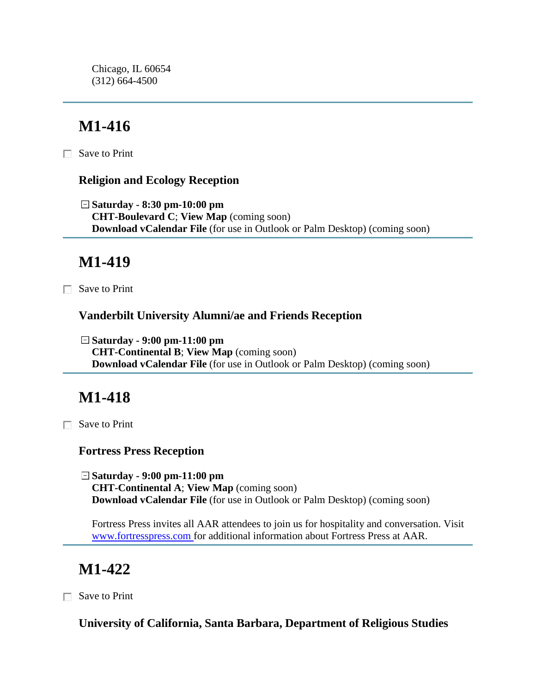Chicago, IL 60654 (312) 664-4500

# **M1-416**

 $\Box$  Save to Print

### **Religion and Ecology Reception**

**Saturday - 8:30 pm-10:00 pm CHT-Boulevard C**; **View Map** (coming soon) **Download vCalendar File** (for use in Outlook or Palm Desktop) (coming soon)

## **M1-419**

Save to Print

### **Vanderbilt University Alumni/ae and Friends Reception**

**Saturday - 9:00 pm-11:00 pm CHT-Continental B**; **View Map** (coming soon) **Download vCalendar File** (for use in Outlook or Palm Desktop) (coming soon)

# **M1-418**

Save to Print

**Fortress Press Reception**

**Saturday - 9:00 pm-11:00 pm CHT-Continental A**; **View Map** (coming soon) **Download vCalendar File** (for use in Outlook or Palm Desktop) (coming soon)

Fortress Press invites all AAR attendees to join us for hospitality and conversation. Visit [www.fortresspress.com f](http://www.fortresspress.com/)or additional information about Fortress Press at AAR.

# **M1-422**

Save to Print

**University of California, Santa Barbara, Department of Religious Studies**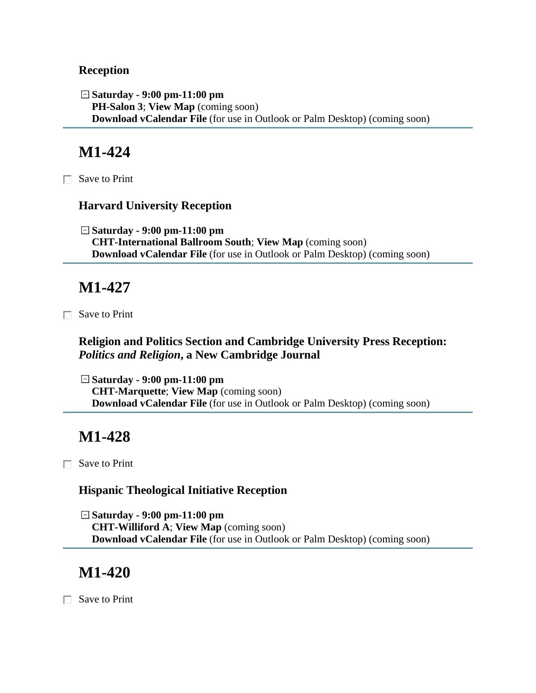#### **Reception**

**Saturday - 9:00 pm-11:00 pm PH-Salon 3**; **View Map** (coming soon) **Download vCalendar File** (for use in Outlook or Palm Desktop) (coming soon)

### **M1-424**

Save to Print

#### **Harvard University Reception**

**Saturday - 9:00 pm-11:00 pm CHT-International Ballroom South**; **View Map** (coming soon) **Download vCalendar File** (for use in Outlook or Palm Desktop) (coming soon)

## **M1-427**

Save to Print

### **Religion and Politics Section and Cambridge University Press Reception:**  *Politics and Religion***, a New Cambridge Journal**

**Saturday - 9:00 pm-11:00 pm CHT-Marquette**; **View Map** (coming soon) **Download vCalendar File** (for use in Outlook or Palm Desktop) (coming soon)

# **M1-428**

Save to Print

#### **Hispanic Theological Initiative Reception**

**Saturday - 9:00 pm-11:00 pm CHT-Williford A**; **View Map** (coming soon) **Download vCalendar File** (for use in Outlook or Palm Desktop) (coming soon)

### **M1-420**

Save to Print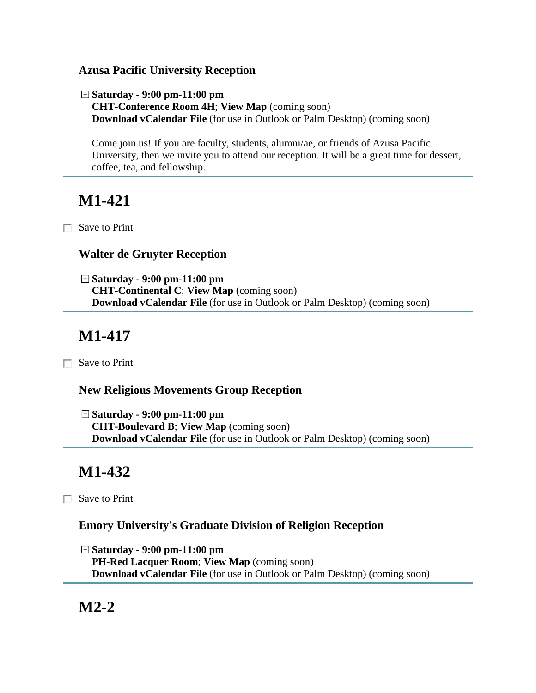#### **Azusa Pacific University Reception**

**Saturday - 9:00 pm-11:00 pm CHT-Conference Room 4H**; **View Map** (coming soon) **Download vCalendar File** (for use in Outlook or Palm Desktop) (coming soon)

Come join us! If you are faculty, students, alumni/ae, or friends of Azusa Pacific University, then we invite you to attend our reception. It will be a great time for dessert, coffee, tea, and fellowship.

# **M1-421**

Save to Print

### **Walter de Gruyter Reception**

**Saturday - 9:00 pm-11:00 pm CHT-Continental C**; **View Map** (coming soon) **Download vCalendar File** (for use in Outlook or Palm Desktop) (coming soon)

# **M1-417**

□ Save to Print

### **New Religious Movements Group Reception**

**Saturday - 9:00 pm-11:00 pm CHT-Boulevard B**; **View Map** (coming soon) **Download vCalendar File** (for use in Outlook or Palm Desktop) (coming soon)

# **M1-432**

Save to Print

### **Emory University's Graduate Division of Religion Reception**

**Saturday - 9:00 pm-11:00 pm PH-Red Lacquer Room**; **View Map** (coming soon) **Download vCalendar File** (for use in Outlook or Palm Desktop) (coming soon)

# **M2-2**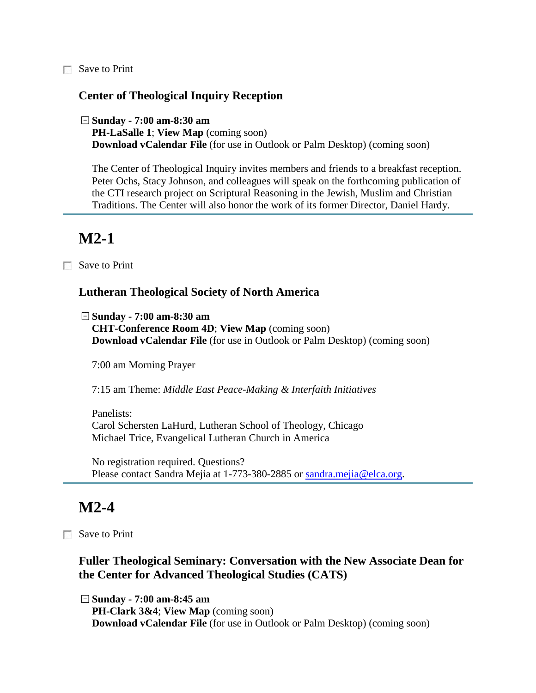□ Save to Print

#### **Center of Theological Inquiry Reception**

**Sunday - 7:00 am-8:30 am**

**PH-LaSalle 1**; **View Map** (coming soon) **Download vCalendar File** (for use in Outlook or Palm Desktop) (coming soon)

The Center of Theological Inquiry invites members and friends to a breakfast reception. Peter Ochs, Stacy Johnson, and colleagues will speak on the forthcoming publication of the CTI research project on Scriptural Reasoning in the Jewish, Muslim and Christian Traditions. The Center will also honor the work of its former Director, Daniel Hardy.

### **M2-1**

Save to Print

#### **Lutheran Theological Society of North America**

**Sunday - 7:00 am-8:30 am**

**CHT-Conference Room 4D**; **View Map** (coming soon) **Download vCalendar File** (for use in Outlook or Palm Desktop) (coming soon)

7:00 am Morning Prayer

7:15 am Theme: *Middle East Peace-Making & Interfaith Initiatives*

Panelists: Carol Schersten LaHurd, Lutheran School of Theology, Chicago Michael Trice, Evangelical Lutheran Church in America

No registration required. Questions? Please contact Sandra Mejia at 1-773-380-2885 or [sandra.mejia@elca.org.](mailto:sandra.mejia@elca.org)

### **M2-4**

**□** Save to Print

#### **Fuller Theological Seminary: Conversation with the New Associate Dean for the Center for Advanced Theological Studies (CATS)**

**Sunday - 7:00 am-8:45 am PH-Clark 3&4**; **View Map** (coming soon) **Download vCalendar File** (for use in Outlook or Palm Desktop) (coming soon)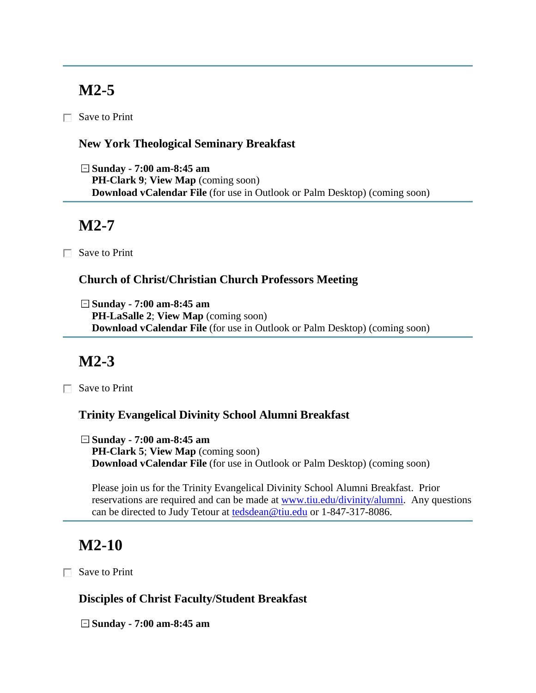# **M2-5**

Save to Print

### **New York Theological Seminary Breakfast**

**Sunday - 7:00 am-8:45 am PH-Clark 9**; **View Map** (coming soon) **Download vCalendar File** (for use in Outlook or Palm Desktop) (coming soon)

## **M2-7**

Save to Print

### **Church of Christ/Christian Church Professors Meeting**

**Sunday - 7:00 am-8:45 am PH-LaSalle 2**; **View Map** (coming soon) **Download vCalendar File** (for use in Outlook or Palm Desktop) (coming soon)

# **M2-3**

Save to Print

### **Trinity Evangelical Divinity School Alumni Breakfast**

**Sunday - 7:00 am-8:45 am PH-Clark 5**; **View Map** (coming soon) **Download vCalendar File** (for use in Outlook or Palm Desktop) (coming soon)

Please join us for the Trinity Evangelical Divinity School Alumni Breakfast. Prior reservations are required and can be made at [www.tiu.edu/divinity/alumni.](http://www.tiu.edu/divinity/alumni) Any questions can be directed to Judy Tetour at **tedsdean@tiu.edu** or 1-847-317-8086.

# **M2-10**

Save to Print

### **Disciples of Christ Faculty/Student Breakfast**

**Sunday - 7:00 am-8:45 am**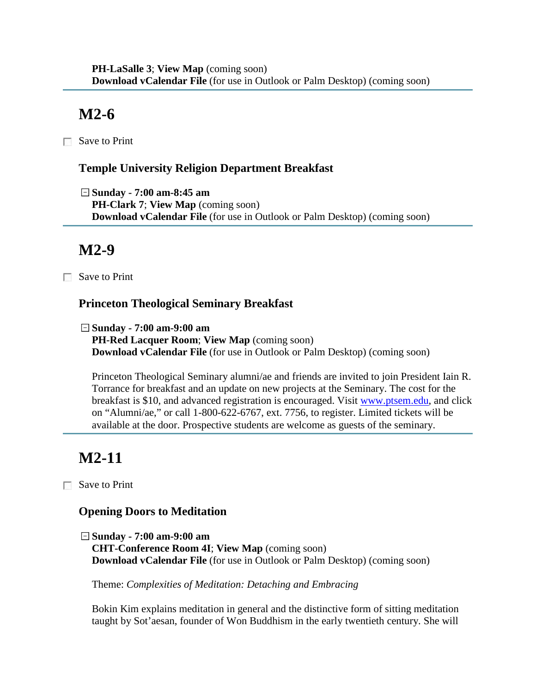# **M2-6**

□ Save to Print

### **Temple University Religion Department Breakfast**

**Sunday - 7:00 am-8:45 am PH-Clark 7**; **View Map** (coming soon) **Download vCalendar File** (for use in Outlook or Palm Desktop) (coming soon)

# **M2-9**

Save to Print

### **Princeton Theological Seminary Breakfast**

**Sunday - 7:00 am-9:00 am PH-Red Lacquer Room**; **View Map** (coming soon) **Download vCalendar File** (for use in Outlook or Palm Desktop) (coming soon)

Princeton Theological Seminary alumni/ae and friends are invited to join President Iain R. Torrance for breakfast and an update on new projects at the Seminary. The cost for the breakfast is \$10, and advanced registration is encouraged. Visit [www.ptsem.edu,](http://www.ptsem.edu/) and click on "Alumni/ae," or call 1-800-622-6767, ext. 7756, to register. Limited tickets will be available at the door. Prospective students are welcome as guests of the seminary.

# **M2-11**

Save to Print

### **Opening Doors to Meditation**

**Sunday - 7:00 am-9:00 am CHT-Conference Room 4I**; **View Map** (coming soon) **Download vCalendar File** (for use in Outlook or Palm Desktop) (coming soon)

Theme: *Complexities of Meditation: Detaching and Embracing*

Bokin Kim explains meditation in general and the distinctive form of sitting meditation taught by Sot'aesan, founder of Won Buddhism in the early twentieth century. She will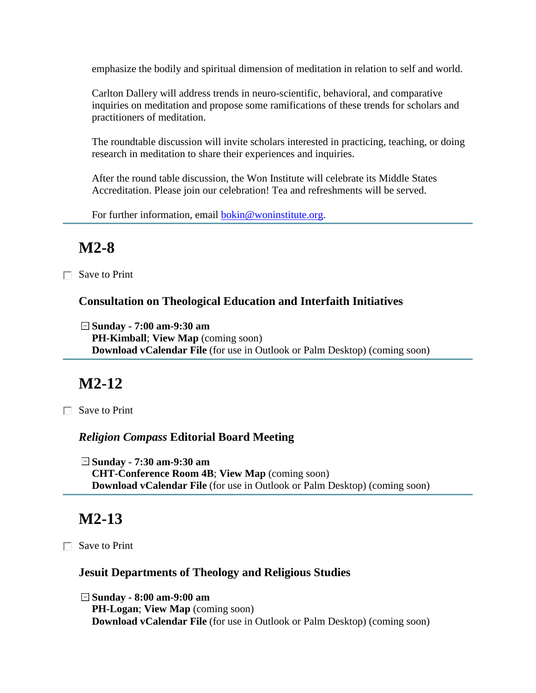emphasize the bodily and spiritual dimension of meditation in relation to self and world.

Carlton Dallery will address trends in neuro-scientific, behavioral, and comparative inquiries on meditation and propose some ramifications of these trends for scholars and practitioners of meditation.

The roundtable discussion will invite scholars interested in practicing, teaching, or doing research in meditation to share their experiences and inquiries.

After the round table discussion, the Won Institute will celebrate its Middle States Accreditation. Please join our celebration! Tea and refreshments will be served.

For further information, email [bokin@woninstitute.org.](mailto:bokin@woninstitute.org)

# **M2-8**

Save to Print

#### **Consultation on Theological Education and Interfaith Initiatives**

**Sunday - 7:00 am-9:30 am**

**PH-Kimball**; **View Map** (coming soon) **Download vCalendar File** (for use in Outlook or Palm Desktop) (coming soon)

### **M2-12**

Save to Print

### *Religion Compass* **Editorial Board Meeting**

**Sunday - 7:30 am-9:30 am CHT-Conference Room 4B**; **View Map** (coming soon) **Download vCalendar File** (for use in Outlook or Palm Desktop) (coming soon)

## **M2-13**

Save to Print

### **Jesuit Departments of Theology and Religious Studies**

**Sunday - 8:00 am-9:00 am PH-Logan**; **View Map** (coming soon) **Download vCalendar File** (for use in Outlook or Palm Desktop) (coming soon)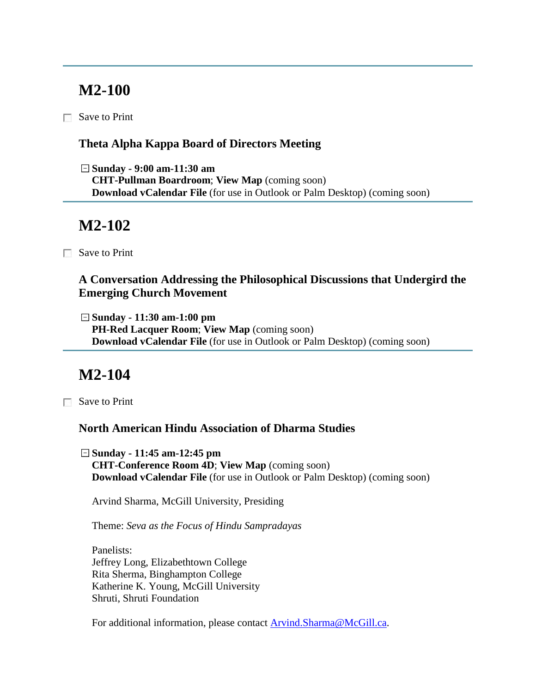## **M2-100**

Save to Print

### **Theta Alpha Kappa Board of Directors Meeting**

**Sunday - 9:00 am-11:30 am CHT-Pullman Boardroom**; **View Map** (coming soon) **Download vCalendar File** (for use in Outlook or Palm Desktop) (coming soon)

### **M2-102**

Save to Print

**A Conversation Addressing the Philosophical Discussions that Undergird the Emerging Church Movement**

**Sunday - 11:30 am-1:00 pm PH-Red Lacquer Room**; **View Map** (coming soon) **Download vCalendar File** (for use in Outlook or Palm Desktop) (coming soon)

### **M2-104**

Save to Print

### **North American Hindu Association of Dharma Studies**

**Sunday - 11:45 am-12:45 pm CHT-Conference Room 4D**; **View Map** (coming soon) **Download vCalendar File** (for use in Outlook or Palm Desktop) (coming soon)

Arvind Sharma, McGill University, Presiding

Theme: *Seva as the Focus of Hindu Sampradayas*

Panelists: Jeffrey Long, Elizabethtown College Rita Sherma, Binghampton College Katherine K. Young, McGill University Shruti, Shruti Foundation

For additional information, please contact [Arvind.Sharma@McGill.ca.](mailto:Arvind.Sharma@McGill.ca)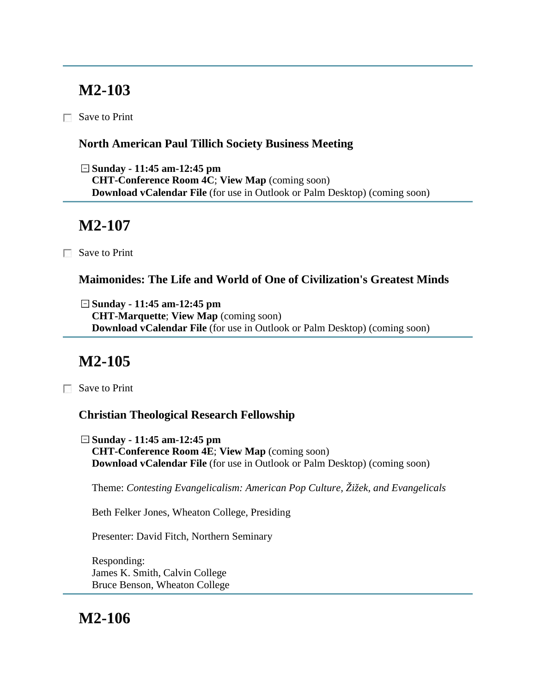# **M2-103**

Save to Print

### **North American Paul Tillich Society Business Meeting**

**Sunday - 11:45 am-12:45 pm CHT-Conference Room 4C**; **View Map** (coming soon) **Download vCalendar File** (for use in Outlook or Palm Desktop) (coming soon)

# **M2-107**

Save to Print

### **Maimonides: The Life and World of One of Civilization's Greatest Minds**

**Sunday - 11:45 am-12:45 pm CHT-Marquette**; **View Map** (coming soon) **Download vCalendar File** (for use in Outlook or Palm Desktop) (coming soon)

# **M2-105**

Save to Print

### **Christian Theological Research Fellowship**

**Sunday - 11:45 am-12:45 pm CHT-Conference Room 4E**; **View Map** (coming soon) **Download vCalendar File** (for use in Outlook or Palm Desktop) (coming soon)

Theme: *Contesting Evangelicalism: American Pop Culture, Žižek, and Evangelicals*

Beth Felker Jones, Wheaton College, Presiding

Presenter: David Fitch, Northern Seminary

Responding: James K. Smith, Calvin College Bruce Benson, Wheaton College

# **M2-106**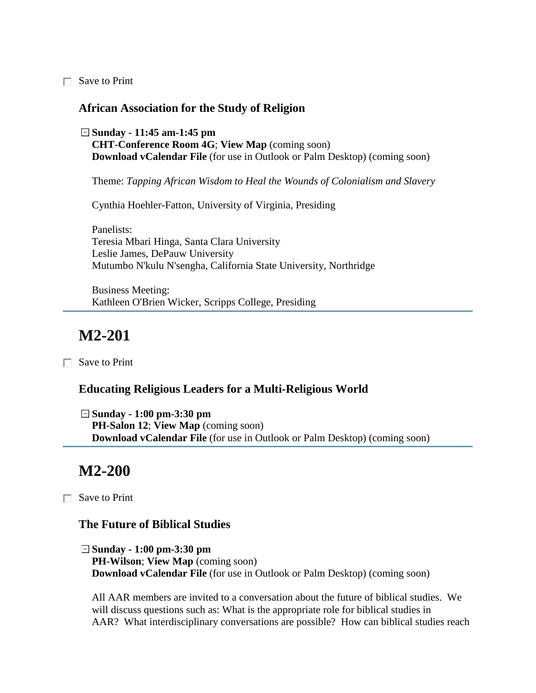Save to Print

#### **African Association for the Study of Religion**

**Sunday - 11:45 am-1:45 pm CHT-Conference Room 4G**; **View Map** (coming soon) **Download vCalendar File** (for use in Outlook or Palm Desktop) (coming soon)

Theme: *Tapping African Wisdom to Heal the Wounds of Colonialism and Slavery*

Cynthia Hoehler-Fatton, University of Virginia, Presiding

Panelists: Teresia Mbari Hinga, Santa Clara University Leslie James, DePauw University Mutumbo N'kulu N'sengha, California State University, Northridge

Business Meeting: Kathleen O'Brien Wicker, Scripps College, Presiding

## **M2-201**

Save to Print

#### **Educating Religious Leaders for a Multi-Religious World**

**Sunday - 1:00 pm-3:30 pm PH-Salon 12**; **View Map** (coming soon) **Download vCalendar File** (for use in Outlook or Palm Desktop) (coming soon)

### **M2-200**

Save to Print

#### **The Future of Biblical Studies**

**Sunday - 1:00 pm-3:30 pm PH-Wilson**; **View Map** (coming soon) **Download vCalendar File** (for use in Outlook or Palm Desktop) (coming soon)

All AAR members are invited to a conversation about the future of biblical studies. We will discuss questions such as: What is the appropriate role for biblical studies in AAR? What interdisciplinary conversations are possible? How can biblical studies reach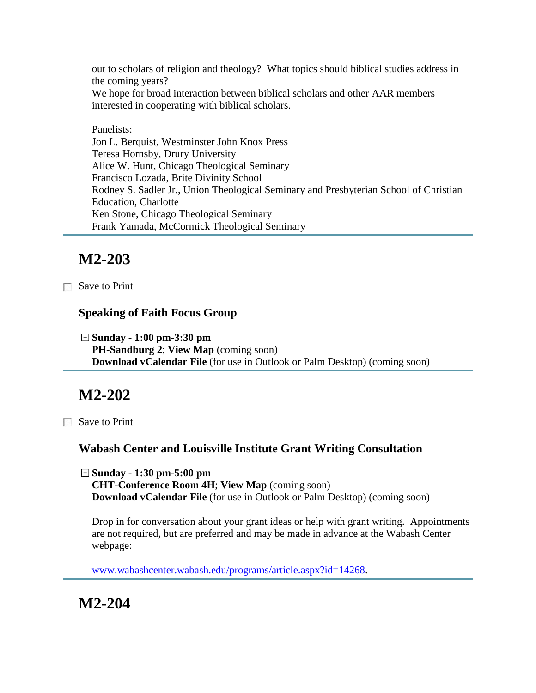out to scholars of religion and theology? What topics should biblical studies address in the coming years?

We hope for broad interaction between biblical scholars and other AAR members interested in cooperating with biblical scholars.

Panelists: Jon L. Berquist, Westminster John Knox Press Teresa Hornsby, Drury University Alice W. Hunt, Chicago Theological Seminary Francisco Lozada, Brite Divinity School Rodney S. Sadler Jr., Union Theological Seminary and Presbyterian School of Christian Education, Charlotte Ken Stone, Chicago Theological Seminary Frank Yamada, McCormick Theological Seminary

# **M2-203**

Save to Print

### **Speaking of Faith Focus Group**

**Sunday - 1:00 pm-3:30 pm PH-Sandburg 2**; **View Map** (coming soon) **Download vCalendar File** (for use in Outlook or Palm Desktop) (coming soon)

# **M2-202**

Save to Print

### **Wabash Center and Louisville Institute Grant Writing Consultation**

**Sunday - 1:30 pm-5:00 pm CHT-Conference Room 4H**; **View Map** (coming soon) **Download vCalendar File** (for use in Outlook or Palm Desktop) (coming soon)

Drop in for conversation about your grant ideas or help with grant writing. Appointments are not required, but are preferred and may be made in advance at the Wabash Center webpage:

[www.wabashcenter.wabash.edu/programs/article.aspx?id=14268.](http://www.wabashcenter.wabash.edu/programs/article.aspx?id=14268)

**M2-204**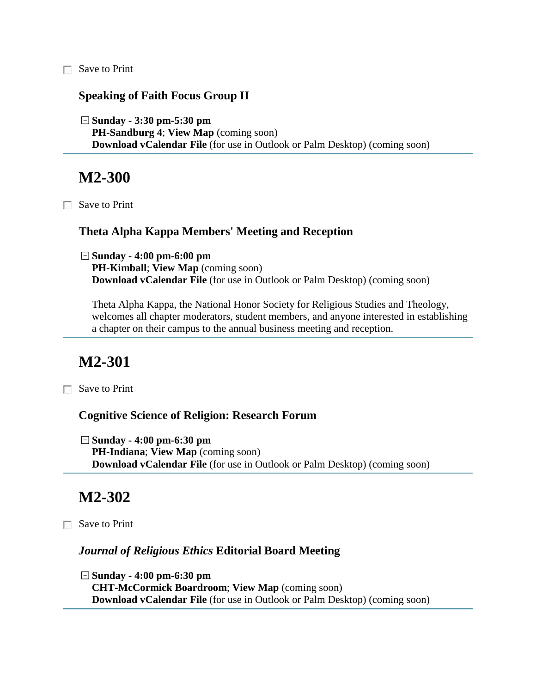□ Save to Print

#### **Speaking of Faith Focus Group II**

**Sunday - 3:30 pm-5:30 pm PH-Sandburg 4**; **View Map** (coming soon) **Download vCalendar File** (for use in Outlook or Palm Desktop) (coming soon)

### **M2-300**

Save to Print

#### **Theta Alpha Kappa Members' Meeting and Reception**

**Sunday - 4:00 pm-6:00 pm PH-Kimball**; **View Map** (coming soon) **Download vCalendar File** (for use in Outlook or Palm Desktop) (coming soon)

Theta Alpha Kappa, the National Honor Society for Religious Studies and Theology, welcomes all chapter moderators, student members, and anyone interested in establishing a chapter on their campus to the annual business meeting and reception.

### **M2-301**

□ Save to Print

#### **Cognitive Science of Religion: Research Forum**

**Sunday - 4:00 pm-6:30 pm PH-Indiana**; **View Map** (coming soon) **Download vCalendar File** (for use in Outlook or Palm Desktop) (coming soon)

### **M2-302**

Save to Print

#### *Journal of Religious Ethics* **Editorial Board Meeting**

**Sunday - 4:00 pm-6:30 pm CHT-McCormick Boardroom**; **View Map** (coming soon) **Download vCalendar File** (for use in Outlook or Palm Desktop) (coming soon)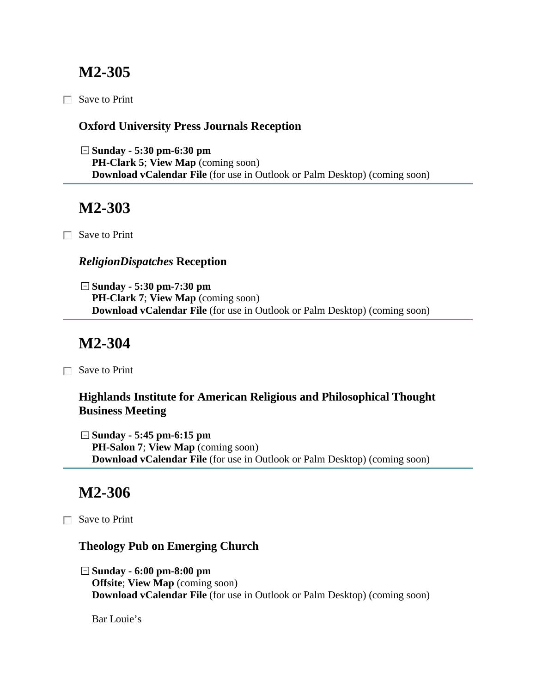## **M2-305**

□ Save to Print

### **Oxford University Press Journals Reception**

**Sunday - 5:30 pm-6:30 pm PH-Clark 5**; **View Map** (coming soon) **Download vCalendar File** (for use in Outlook or Palm Desktop) (coming soon)

## **M2-303**

Save to Print

### *ReligionDispatches* **Reception**

**Sunday - 5:30 pm-7:30 pm PH-Clark 7**; **View Map** (coming soon) **Download vCalendar File** (for use in Outlook or Palm Desktop) (coming soon)

# **M2-304**

Save to Print

### **Highlands Institute for American Religious and Philosophical Thought Business Meeting**

**Sunday - 5:45 pm-6:15 pm PH-Salon 7**; **View Map** (coming soon) **Download vCalendar File** (for use in Outlook or Palm Desktop) (coming soon)

## **M2-306**

Save to Print

### **Theology Pub on Emerging Church**

**Sunday - 6:00 pm-8:00 pm Offsite**; **View Map** (coming soon) **Download vCalendar File** (for use in Outlook or Palm Desktop) (coming soon)

Bar Louie's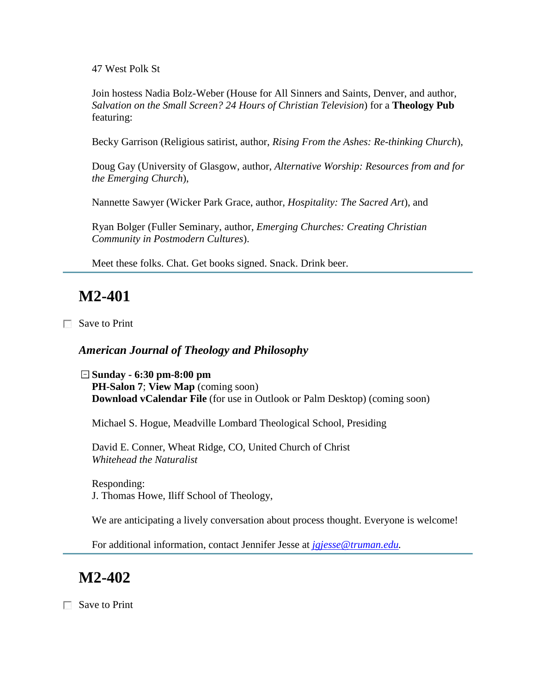47 West Polk St

Join hostess Nadia Bolz-Weber (House for All Sinners and Saints, Denver, and author, *Salvation on the Small Screen? 24 Hours of Christian Television*) for a **Theology Pub** featuring:

Becky Garrison (Religious satirist, author, *Rising From the Ashes: Re-thinking Church*),

Doug Gay (University of Glasgow, author, *Alternative Worship: Resources from and for the Emerging Church*),

Nannette Sawyer (Wicker Park Grace, author, *Hospitality: The Sacred Art*), and

Ryan Bolger (Fuller Seminary, author, *Emerging Churches: Creating Christian Community in Postmodern Cultures*).

Meet these folks. Chat. Get books signed. Snack. Drink beer.

## **M2-401**

Save to Print

#### *American Journal of Theology and Philosophy*

**Sunday - 6:30 pm-8:00 pm PH-Salon 7**; **View Map** (coming soon) **Download vCalendar File** (for use in Outlook or Palm Desktop) (coming soon)

Michael S. Hogue, Meadville Lombard Theological School, Presiding

David E. Conner, Wheat Ridge, CO, United Church of Christ *Whitehead the Naturalist*

Responding: J. Thomas Howe, Iliff School of Theology,

We are anticipating a lively conversation about process thought. Everyone is welcome!

For additional information, contact Jennifer Jesse at *[jgjesse@truman.edu.](mailto:jgjesse@truman.edu)*

### **M2-402**

Save to Print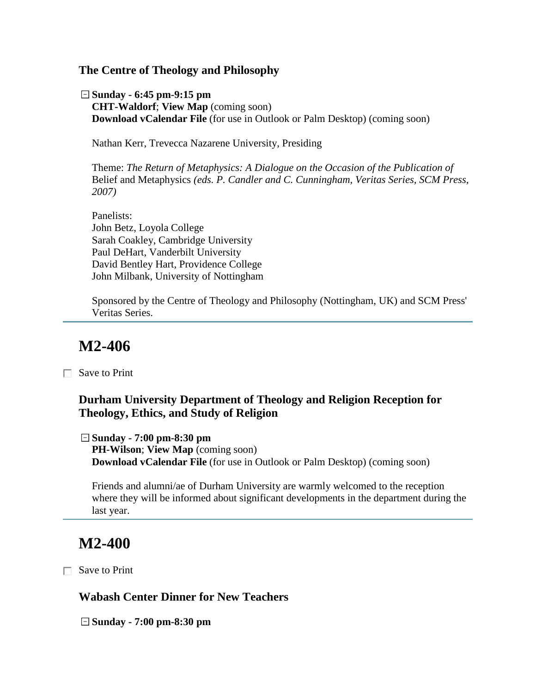#### **The Centre of Theology and Philosophy**

**Sunday - 6:45 pm-9:15 pm CHT-Waldorf**; **View Map** (coming soon) **Download vCalendar File** (for use in Outlook or Palm Desktop) (coming soon)

Nathan Kerr, Trevecca Nazarene University, Presiding

Theme: *The Return of Metaphysics: A Dialogue on the Occasion of the Publication of* Belief and Metaphysics *(eds. P. Candler and C. Cunningham, Veritas Series, SCM Press, 2007)*

Panelists: John Betz, Loyola College Sarah Coakley, Cambridge University Paul DeHart, Vanderbilt University David Bentley Hart, Providence College John Milbank, University of Nottingham

Sponsored by the Centre of Theology and Philosophy (Nottingham, UK) and SCM Press' Veritas Series.

## **M2-406**

Save to Print

#### **Durham University Department of Theology and Religion Reception for Theology, Ethics, and Study of Religion**

**Sunday - 7:00 pm-8:30 pm**

**PH-Wilson**; **View Map** (coming soon) **Download vCalendar File** (for use in Outlook or Palm Desktop) (coming soon)

Friends and alumni/ae of Durham University are warmly welcomed to the reception where they will be informed about significant developments in the department during the last year.

## **M2-400**

Save to Print

#### **Wabash Center Dinner for New Teachers**

**Sunday - 7:00 pm-8:30 pm**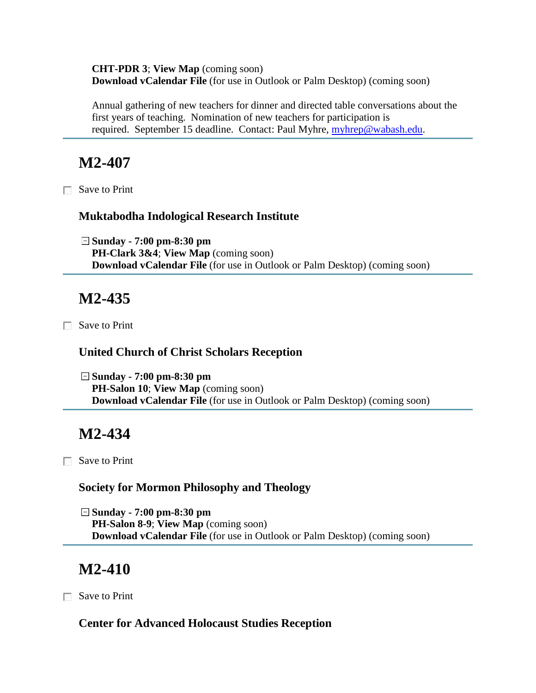**CHT-PDR 3**; **View Map** (coming soon) **Download vCalendar File** (for use in Outlook or Palm Desktop) (coming soon)

Annual gathering of new teachers for dinner and directed table conversations about the first years of teaching. Nomination of new teachers for participation is required. September 15 deadline. Contact: Paul Myhre, [myhrep@wabash.edu.](mailto:myhrep@wabash.edu)

## **M2-407**

Save to Print

#### **Muktabodha Indological Research Institute**

**Sunday - 7:00 pm-8:30 pm PH-Clark 3&4**; **View Map** (coming soon) **Download vCalendar File** (for use in Outlook or Palm Desktop) (coming soon)

## **M2-435**

Save to Print

#### **United Church of Christ Scholars Reception**

**Sunday - 7:00 pm-8:30 pm PH-Salon 10**; **View Map** (coming soon) **Download vCalendar File** (for use in Outlook or Palm Desktop) (coming soon)

## **M2-434**

Save to Print

#### **Society for Mormon Philosophy and Theology**

**Sunday - 7:00 pm-8:30 pm PH-Salon 8-9**; **View Map** (coming soon) **Download vCalendar File** (for use in Outlook or Palm Desktop) (coming soon)

## **M2-410**

Save to Print

#### **Center for Advanced Holocaust Studies Reception**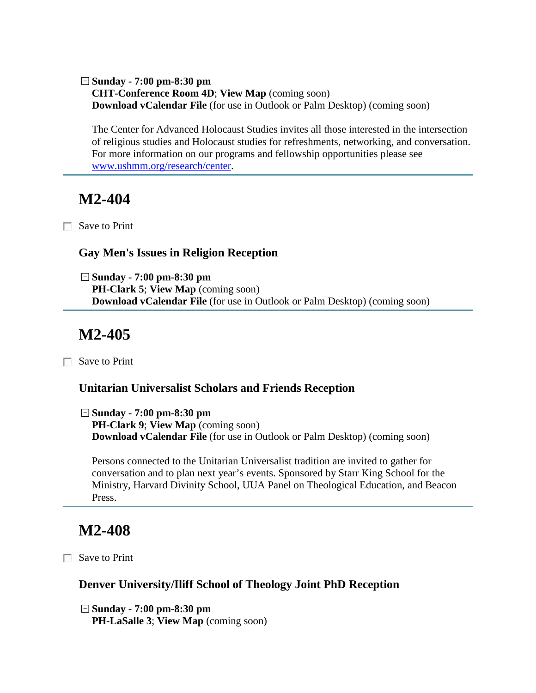**Sunday - 7:00 pm-8:30 pm CHT-Conference Room 4D**; **View Map** (coming soon) **Download vCalendar File** (for use in Outlook or Palm Desktop) (coming soon)

The Center for Advanced Holocaust Studies invites all those interested in the intersection of religious studies and Holocaust studies for refreshments, networking, and conversation. For more information on our programs and fellowship opportunities please see [www.ushmm.org/research/center.](http://www.ushmm.org/research/center/)

## **M2-404**

Save to Print

#### **Gay Men's Issues in Religion Reception**

**Sunday - 7:00 pm-8:30 pm PH-Clark 5**; **View Map** (coming soon) **Download vCalendar File** (for use in Outlook or Palm Desktop) (coming soon)

# **M2-405**

Save to Print

#### **Unitarian Universalist Scholars and Friends Reception**

**Sunday - 7:00 pm-8:30 pm**

**PH-Clark 9**; **View Map** (coming soon) **Download vCalendar File** (for use in Outlook or Palm Desktop) (coming soon)

Persons connected to the Unitarian Universalist tradition are invited to gather for conversation and to plan next year's events. Sponsored by Starr King School for the Ministry, Harvard Divinity School, UUA Panel on Theological Education, and Beacon Press.

## **M2-408**

Save to Print

#### **Denver University/Iliff School of Theology Joint PhD Reception**

**Sunday - 7:00 pm-8:30 pm PH-LaSalle 3**; **View Map** (coming soon)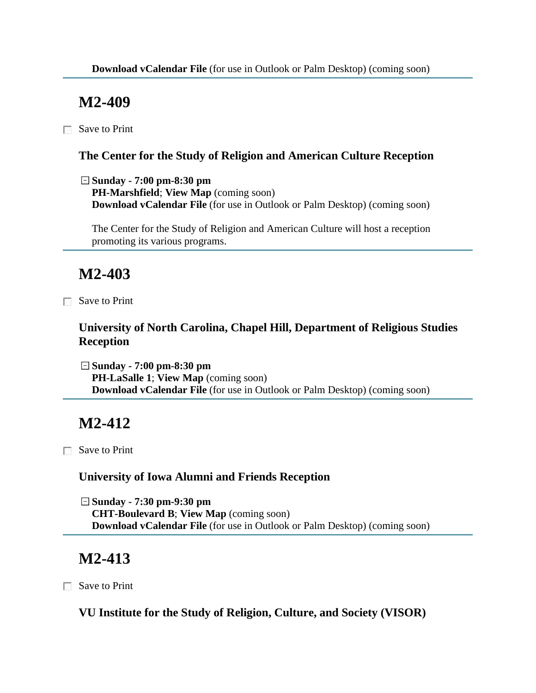Save to Print

### **The Center for the Study of Religion and American Culture Reception**

**Sunday - 7:00 pm-8:30 pm**

**PH-Marshfield**; **View Map** (coming soon) **Download vCalendar File** (for use in Outlook or Palm Desktop) (coming soon)

The Center for the Study of Religion and American Culture will host a reception promoting its various programs.

# **M2-403**

Save to Print

### **University of North Carolina, Chapel Hill, Department of Religious Studies Reception**

**Sunday - 7:00 pm-8:30 pm PH-LaSalle 1**; **View Map** (coming soon) **Download vCalendar File** (for use in Outlook or Palm Desktop) (coming soon)

# **M2-412**

Save to Print

### **University of Iowa Alumni and Friends Reception**

**Sunday - 7:30 pm-9:30 pm CHT-Boulevard B**; **View Map** (coming soon) **Download vCalendar File** (for use in Outlook or Palm Desktop) (coming soon)

# **M2-413**

Save to Print

**VU Institute for the Study of Religion, Culture, and Society (VISOR)**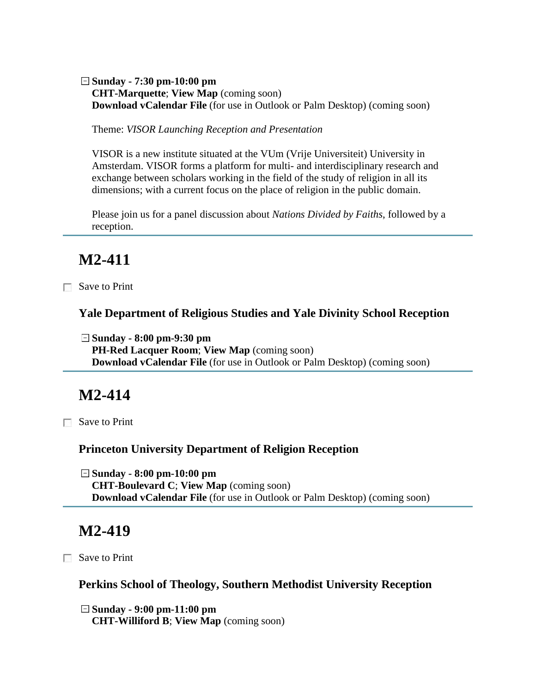#### **Sunday - 7:30 pm-10:00 pm CHT-Marquette**; **View Map** (coming soon) **Download vCalendar File** (for use in Outlook or Palm Desktop) (coming soon)

Theme: *VISOR Launching Reception and Presentation*

VISOR is a new institute situated at the VUm (Vrije Universiteit) University in Amsterdam. VISOR forms a platform for multi- and interdisciplinary research and exchange between scholars working in the field of the study of religion in all its dimensions; with a current focus on the place of religion in the public domain.

Please join us for a panel discussion about *Nations Divided by Faiths*, followed by a reception.

## **M2-411**

Save to Print

**Yale Department of Religious Studies and Yale Divinity School Reception**

**Sunday - 8:00 pm-9:30 pm PH-Red Lacquer Room**; **View Map** (coming soon) **Download vCalendar File** (for use in Outlook or Palm Desktop) (coming soon)

## **M2-414**

□ Save to Print

#### **Princeton University Department of Religion Reception**

**Sunday - 8:00 pm-10:00 pm CHT-Boulevard C**; **View Map** (coming soon) **Download vCalendar File** (for use in Outlook or Palm Desktop) (coming soon)

## **M2-419**

Save to Print

**Perkins School of Theology, Southern Methodist University Reception**

**Sunday - 9:00 pm-11:00 pm CHT-Williford B**; **View Map** (coming soon)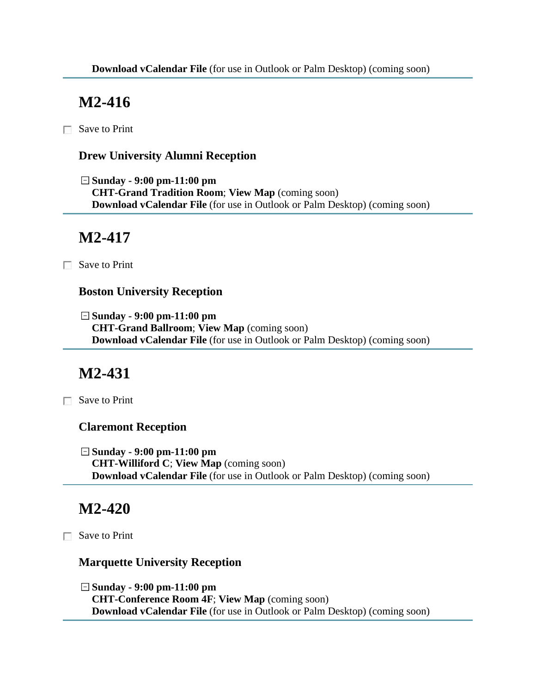$\Box$  Save to Print

### **Drew University Alumni Reception**

**Sunday - 9:00 pm-11:00 pm CHT-Grand Tradition Room**; **View Map** (coming soon) **Download vCalendar File** (for use in Outlook or Palm Desktop) (coming soon)

# **M2-417**

Save to Print

### **Boston University Reception**

**Sunday - 9:00 pm-11:00 pm CHT-Grand Ballroom**; **View Map** (coming soon) **Download vCalendar File** (for use in Outlook or Palm Desktop) (coming soon)

# **M2-431**

Save to Print

### **Claremont Reception**

**Sunday - 9:00 pm-11:00 pm CHT-Williford C**; **View Map** (coming soon) **Download vCalendar File** (for use in Outlook or Palm Desktop) (coming soon)

## **M2-420**

**■ Save to Print** 

#### **Marquette University Reception**

**Sunday - 9:00 pm-11:00 pm CHT-Conference Room 4F**; **View Map** (coming soon) **Download vCalendar File** (for use in Outlook or Palm Desktop) (coming soon)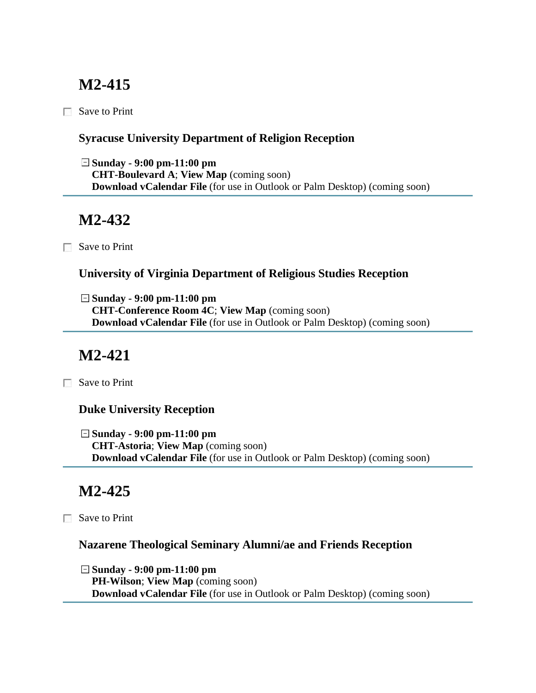Save to Print

### **Syracuse University Department of Religion Reception**

**Sunday - 9:00 pm-11:00 pm CHT-Boulevard A**; **View Map** (coming soon) **Download vCalendar File** (for use in Outlook or Palm Desktop) (coming soon)

# **M2-432**

Save to Print

### **University of Virginia Department of Religious Studies Reception**

**Sunday - 9:00 pm-11:00 pm CHT-Conference Room 4C**; **View Map** (coming soon) **Download vCalendar File** (for use in Outlook or Palm Desktop) (coming soon)

## **M2-421**

Save to Print

#### **Duke University Reception**

**Sunday - 9:00 pm-11:00 pm CHT-Astoria**; **View Map** (coming soon) **Download vCalendar File** (for use in Outlook or Palm Desktop) (coming soon)

## **M2-425**

□ Save to Print

### **Nazarene Theological Seminary Alumni/ae and Friends Reception**

**Sunday - 9:00 pm-11:00 pm PH-Wilson**; **View Map** (coming soon) **Download vCalendar File** (for use in Outlook or Palm Desktop) (coming soon)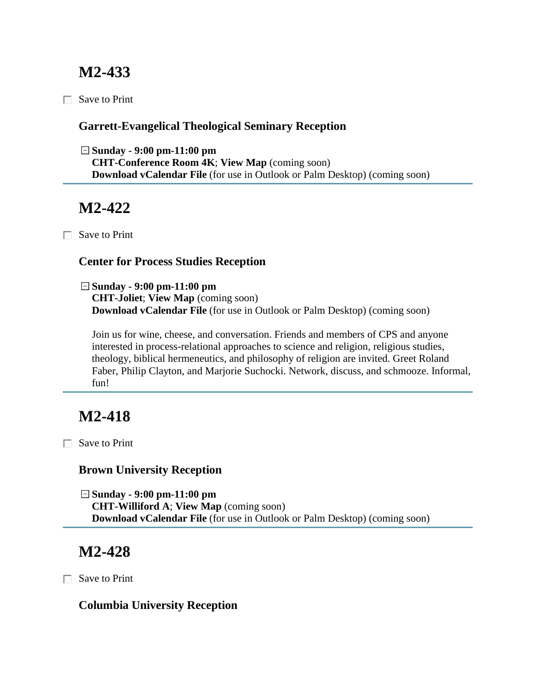Save to Print

### **Garrett-Evangelical Theological Seminary Reception**

**Sunday - 9:00 pm-11:00 pm CHT-Conference Room 4K**; **View Map** (coming soon) **Download vCalendar File** (for use in Outlook or Palm Desktop) (coming soon)

## **M2-422**

Save to Print

### **Center for Process Studies Reception**

**Sunday - 9:00 pm-11:00 pm CHT-Joliet**; **View Map** (coming soon) **Download vCalendar File** (for use in Outlook or Palm Desktop) (coming soon)

Join us for wine, cheese, and conversation. Friends and members of CPS and anyone interested in process-relational approaches to science and religion, religious studies, theology, biblical hermeneutics, and philosophy of religion are invited. Greet Roland Faber, Philip Clayton, and Marjorie Suchocki. Network, discuss, and schmooze. Informal, fun!

# **M2-418**

Save to Print

### **Brown University Reception**

**Sunday - 9:00 pm-11:00 pm CHT-Williford A**; **View Map** (coming soon) **Download vCalendar File** (for use in Outlook or Palm Desktop) (coming soon)

# **M2-428**

Save to Print

### **Columbia University Reception**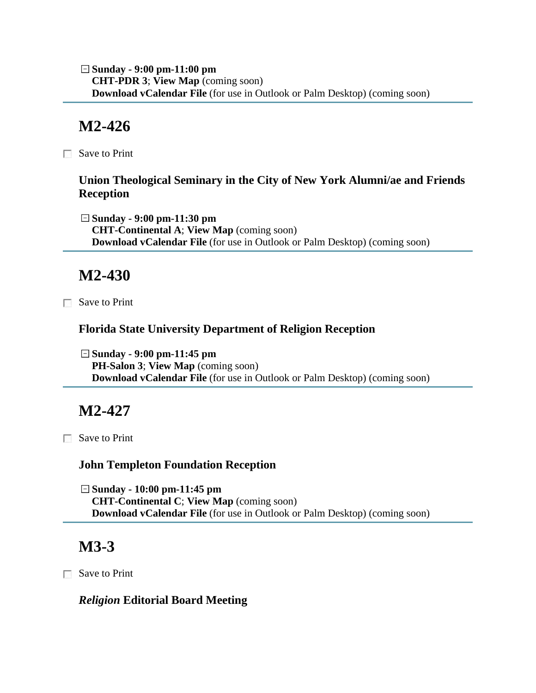**Sunday - 9:00 pm-11:00 pm CHT-PDR 3**; **View Map** (coming soon) **Download vCalendar File** (for use in Outlook or Palm Desktop) (coming soon)

## **M2-426**

 $\Box$  Save to Print

### **Union Theological Seminary in the City of New York Alumni/ae and Friends Reception**

**Sunday - 9:00 pm-11:30 pm CHT-Continental A**; **View Map** (coming soon) **Download vCalendar File** (for use in Outlook or Palm Desktop) (coming soon)

## **M2-430**

Save to Print

#### **Florida State University Department of Religion Reception**

**Sunday - 9:00 pm-11:45 pm PH-Salon 3**; **View Map** (coming soon) **Download vCalendar File** (for use in Outlook or Palm Desktop) (coming soon)

## **M2-427**

Save to Print

#### **John Templeton Foundation Reception**

**Sunday - 10:00 pm-11:45 pm CHT-Continental C**; **View Map** (coming soon) **Download vCalendar File** (for use in Outlook or Palm Desktop) (coming soon)

# **M3-3**

Save to Print

#### *Religion* **Editorial Board Meeting**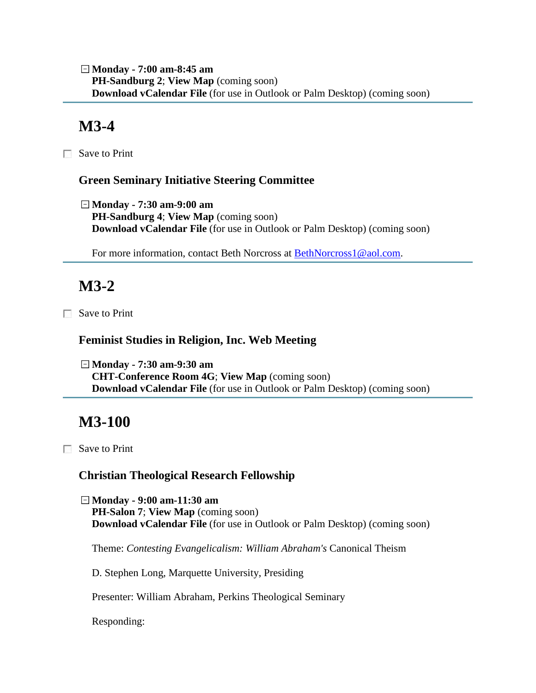**Monday - 7:00 am-8:45 am PH-Sandburg 2**; **View Map** (coming soon) **Download vCalendar File** (for use in Outlook or Palm Desktop) (coming soon)

## **M3-4**

Save to Print

#### **Green Seminary Initiative Steering Committee**

**Monday - 7:30 am-9:00 am PH-Sandburg 4**; **View Map** (coming soon) **Download vCalendar File** (for use in Outlook or Palm Desktop) (coming soon)

For more information, contact Beth Norcross at **BethNorcross1@aol.com.** 

# **M3-2**

Save to Print

#### **Feminist Studies in Religion, Inc. Web Meeting**

**Monday - 7:30 am-9:30 am CHT-Conference Room 4G**; **View Map** (coming soon) **Download vCalendar File** (for use in Outlook or Palm Desktop) (coming soon)

## **M3-100**

Save to Print

#### **Christian Theological Research Fellowship**

**Monday - 9:00 am-11:30 am PH-Salon 7**; **View Map** (coming soon) **Download vCalendar File** (for use in Outlook or Palm Desktop) (coming soon)

Theme: *Contesting Evangelicalism: William Abraham's* Canonical Theism

D. Stephen Long, Marquette University, Presiding

Presenter: William Abraham, Perkins Theological Seminary

Responding: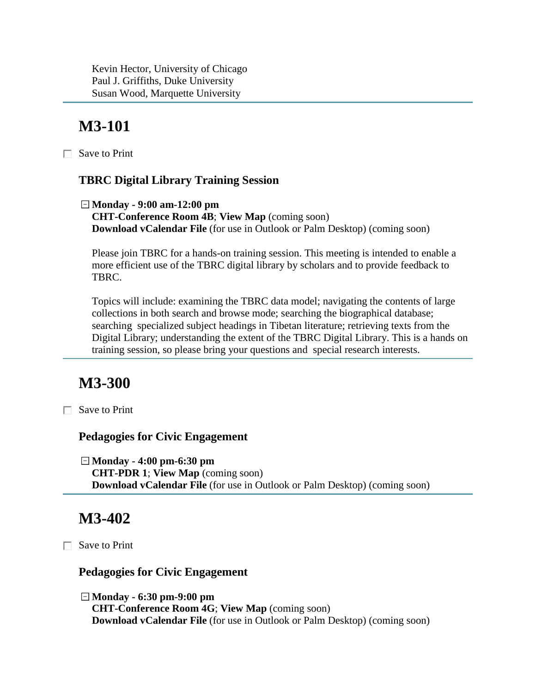Kevin Hector, University of Chicago Paul J. Griffiths, Duke University Susan Wood, Marquette University

# **M3-101**

Save to Print

### **TBRC Digital Library Training Session**

**Monday - 9:00 am-12:00 pm CHT-Conference Room 4B**; **View Map** (coming soon) **Download vCalendar File** (for use in Outlook or Palm Desktop) (coming soon)

Please join TBRC for a hands-on training session. This meeting is intended to enable a more efficient use of the TBRC digital library by scholars and to provide feedback to TBRC.

Topics will include: examining the TBRC data model; navigating the contents of large collections in both search and browse mode; searching the biographical database; searching specialized subject headings in Tibetan literature; retrieving texts from the Digital Library; understanding the extent of the TBRC Digital Library. This is a hands on training session, so please bring your questions and special research interests.

## **M3-300**

□ Save to Print

#### **Pedagogies for Civic Engagement**

**Monday - 4:00 pm-6:30 pm CHT-PDR 1**; **View Map** (coming soon) **Download vCalendar File** (for use in Outlook or Palm Desktop) (coming soon)

## **M3-402**

Save to Print

#### **Pedagogies for Civic Engagement**

**Monday - 6:30 pm-9:00 pm CHT-Conference Room 4G**; **View Map** (coming soon) **Download vCalendar File** (for use in Outlook or Palm Desktop) (coming soon)